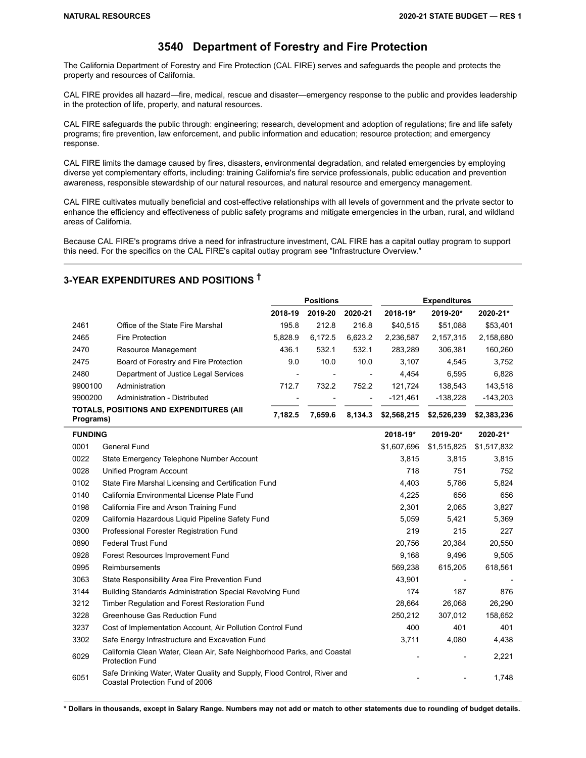## **3540 Department of Forestry and Fire Protection**

The California Department of Forestry and Fire Protection (CAL FIRE) serves and safeguards the people and protects the property and resources of California.

CAL FIRE provides all hazard—fire, medical, rescue and disaster—emergency response to the public and provides leadership in the protection of life, property, and natural resources.

CAL FIRE safeguards the public through: engineering; research, development and adoption of regulations; fire and life safety programs; fire prevention, law enforcement, and public information and education; resource protection; and emergency response.

CAL FIRE limits the damage caused by fires, disasters, environmental degradation, and related emergencies by employing diverse yet complementary efforts, including: training California's fire service professionals, public education and prevention awareness, responsible stewardship of our natural resources, and natural resource and emergency management.

CAL FIRE cultivates mutually beneficial and cost-effective relationships with all levels of government and the private sector to enhance the efficiency and effectiveness of public safety programs and mitigate emergencies in the urban, rural, and wildland areas of California.

Because CAL FIRE's programs drive a need for infrastructure investment, CAL FIRE has a capital outlay program to support this need. For the specifics on the CAL FIRE's capital outlay program see "Infrastructure Overview."

## **3-YEAR EXPENDITURES AND POSITIONS †**

|           |                                         | <b>Positions</b>         |                 |                          | <b>Expenditures</b> |             |             |
|-----------|-----------------------------------------|--------------------------|-----------------|--------------------------|---------------------|-------------|-------------|
|           |                                         | 2018-19                  | 2019-20         | 2020-21                  | 2018-19*            | 2019-20*    | 2020-21*    |
| 2461      | Office of the State Fire Marshal        | 195.8                    | 212.8           | 216.8                    | \$40.515            | \$51,088    | \$53,401    |
| 2465      | Fire Protection                         | 5.828.9                  | 6.172.5         | 6.623.2                  | 2.236.587           | 2,157,315   | 2,158,680   |
| 2470      | Resource Management                     | 436.1                    | 532.1           | 532.1                    | 283.289             | 306,381     | 160,260     |
| 2475      | Board of Forestry and Fire Protection   | 9.0                      | 10.0            | 10.0                     | 3.107               | 4.545       | 3.752       |
| 2480      | Department of Justice Legal Services    | $\overline{\phantom{a}}$ | $\qquad \qquad$ | $\overline{\phantom{a}}$ | 4.454               | 6.595       | 6.828       |
| 9900100   | Administration                          | 712.7                    | 732.2           | 752.2                    | 121.724             | 138.543     | 143.518     |
| 9900200   | Administration - Distributed            |                          |                 | $\overline{\phantom{a}}$ | $-121.461$          | $-138.228$  | $-143,203$  |
| Programs) | TOTALS, POSITIONS AND EXPENDITURES (AII | 7.182.5                  | 7.659.6         | 8.134.3                  | \$2,568,215         | \$2,526,239 | \$2,383,236 |
|           |                                         |                          |                 |                          |                     |             |             |

| <b>FUNDING</b> |                                                                                                            | 2018-19*    | 2019-20*    | 2020-21*    |
|----------------|------------------------------------------------------------------------------------------------------------|-------------|-------------|-------------|
| 0001           | General Fund                                                                                               | \$1,607,696 | \$1,515,825 | \$1,517,832 |
| 0022           | State Emergency Telephone Number Account                                                                   | 3,815       | 3.815       | 3,815       |
| 0028           | Unified Program Account                                                                                    | 718         | 751         | 752         |
| 0102           | State Fire Marshal Licensing and Certification Fund                                                        | 4,403       | 5,786       | 5,824       |
| 0140           | California Environmental License Plate Fund                                                                | 4,225       | 656         | 656         |
| 0198           | California Fire and Arson Training Fund                                                                    | 2,301       | 2,065       | 3,827       |
| 0209           | California Hazardous Liquid Pipeline Safety Fund                                                           | 5,059       | 5,421       | 5,369       |
| 0300           | Professional Forester Registration Fund                                                                    | 219         | 215         | 227         |
| 0890           | <b>Federal Trust Fund</b>                                                                                  | 20,756      | 20.384      | 20,550      |
| 0928           | Forest Resources Improvement Fund                                                                          | 9.168       | 9.496       | 9,505       |
| 0995           | Reimbursements                                                                                             | 569,238     | 615,205     | 618,561     |
| 3063           | State Responsibility Area Fire Prevention Fund                                                             | 43,901      |             |             |
| 3144           | Building Standards Administration Special Revolving Fund                                                   | 174         | 187         | 876         |
| 3212           | Timber Regulation and Forest Restoration Fund                                                              | 28.664      | 26,068      | 26,290      |
| 3228           | Greenhouse Gas Reduction Fund                                                                              | 250,212     | 307,012     | 158,652     |
| 3237           | Cost of Implementation Account, Air Pollution Control Fund                                                 | 400         | 401         | 401         |
| 3302           | Safe Energy Infrastructure and Excavation Fund                                                             | 3,711       | 4,080       | 4,438       |
| 6029           | California Clean Water, Clean Air, Safe Neighborhood Parks, and Coastal<br><b>Protection Fund</b>          |             |             | 2,221       |
| 6051           | Safe Drinking Water, Water Quality and Supply, Flood Control, River and<br>Coastal Protection Fund of 2006 |             |             | 1,748       |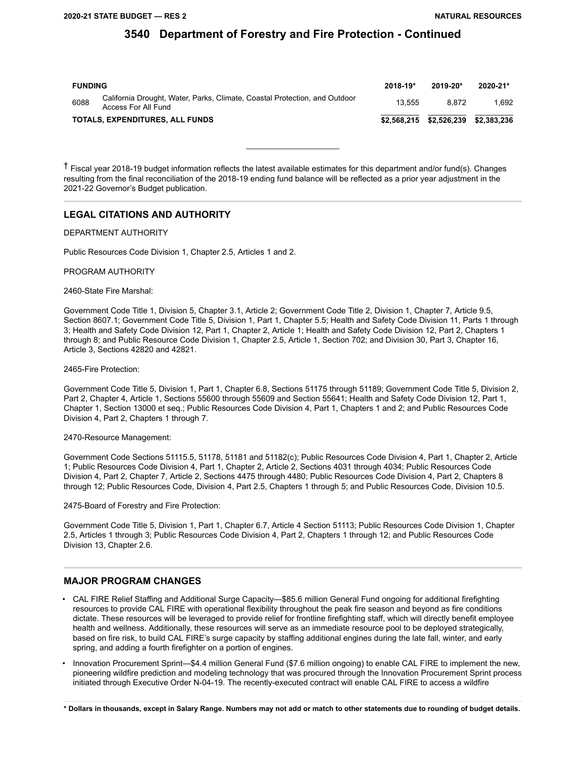| <b>FUNDING</b> |                                                                                                   | $2018 - 19*$ | $2019 - 20*$ | 2020-21*    |
|----------------|---------------------------------------------------------------------------------------------------|--------------|--------------|-------------|
| 6088           | California Drought, Water, Parks, Climate, Coastal Protection, and Outdoor<br>Access For All Fund | 13.555       | 8.872        | 1.692       |
|                | TOTALS, EXPENDITURES, ALL FUNDS                                                                   | \$2.568.215  | \$2.526.239  | \$2.383.236 |

† Fiscal year 2018-19 budget information reflects the latest available estimates for this department and/or fund(s). Changes resulting from the final reconciliation of the 2018-19 ending fund balance will be reflected as a prior year adjustment in the 2021-22 Governor's Budget publication.

### **LEGAL CITATIONS AND AUTHORITY**

### DEPARTMENT AUTHORITY

Public Resources Code Division 1, Chapter 2.5, Articles 1 and 2.

#### PROGRAM AUTHORITY

#### 2460-State Fire Marshal:

Government Code Title 1, Division 5, Chapter 3.1, Article 2; Government Code Title 2, Division 1, Chapter 7, Article 9.5, Section 8607.1; Government Code Title 5, Division 1, Part 1, Chapter 5.5; Health and Safety Code Division 11, Parts 1 through 3; Health and Safety Code Division 12, Part 1, Chapter 2, Article 1; Health and Safety Code Division 12, Part 2, Chapters 1 through 8; and Public Resource Code Division 1, Chapter 2.5, Article 1, Section 702; and Division 30, Part 3, Chapter 16, Article 3, Sections 42820 and 42821.

### 2465-Fire Protection:

Government Code Title 5, Division 1, Part 1, Chapter 6.8, Sections 51175 through 51189; Government Code Title 5, Division 2, Part 2, Chapter 4, Article 1, Sections 55600 through 55609 and Section 55641; Health and Safety Code Division 12, Part 1, Chapter 1, Section 13000 et seq.; Public Resources Code Division 4, Part 1, Chapters 1 and 2; and Public Resources Code Division 4, Part 2, Chapters 1 through 7.

#### 2470-Resource Management:

Government Code Sections 51115.5, 51178, 51181 and 51182(c); Public Resources Code Division 4, Part 1, Chapter 2, Article 1; Public Resources Code Division 4, Part 1, Chapter 2, Article 2, Sections 4031 through 4034; Public Resources Code Division 4, Part 2, Chapter 7, Article 2, Sections 4475 through 4480; Public Resources Code Division 4, Part 2, Chapters 8 through 12; Public Resources Code, Division 4, Part 2.5, Chapters 1 through 5; and Public Resources Code, Division 10.5.

2475-Board of Forestry and Fire Protection:

Government Code Title 5, Division 1, Part 1, Chapter 6.7, Article 4 Section 51113; Public Resources Code Division 1, Chapter 2.5, Articles 1 through 3; Public Resources Code Division 4, Part 2, Chapters 1 through 12; and Public Resources Code Division 13, Chapter 2.6.

### **MAJOR PROGRAM CHANGES**

- CAL FIRE Relief Staffing and Additional Surge Capacity—\$85.6 million General Fund ongoing for additional firefighting resources to provide CAL FIRE with operational flexibility throughout the peak fire season and beyond as fire conditions dictate. These resources will be leveraged to provide relief for frontline firefighting staff, which will directly benefit employee health and wellness. Additionally, these resources will serve as an immediate resource pool to be deployed strategically, based on fire risk, to build CAL FIRE's surge capacity by staffing additional engines during the late fall, winter, and early spring, and adding a fourth firefighter on a portion of engines.
- Innovation Procurement Sprint—\$4.4 million General Fund (\$7.6 million ongoing) to enable CAL FIRE to implement the new, pioneering wildfire prediction and modeling technology that was procured through the Innovation Procurement Sprint process initiated through Executive Order N-04-19. The recently-executed contract will enable CAL FIRE to access a wildfire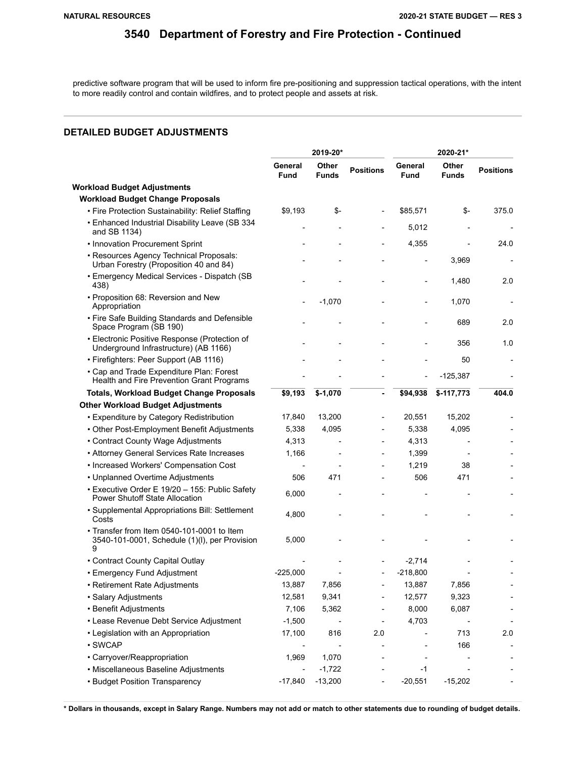predictive software program that will be used to inform fire pre-positioning and suppression tactical operations, with the intent to more readily control and contain wildfires, and to protect people and assets at risk.

## **DETAILED BUDGET ADJUSTMENTS**

|                                                                                                  | 2019-20*        |                       |                          | 2020-21*               |                       |                  |
|--------------------------------------------------------------------------------------------------|-----------------|-----------------------|--------------------------|------------------------|-----------------------|------------------|
|                                                                                                  | General<br>Fund | Other<br><b>Funds</b> | <b>Positions</b>         | General<br><b>Fund</b> | Other<br><b>Funds</b> | <b>Positions</b> |
| <b>Workload Budget Adjustments</b>                                                               |                 |                       |                          |                        |                       |                  |
| <b>Workload Budget Change Proposals</b>                                                          |                 |                       |                          |                        |                       |                  |
| • Fire Protection Sustainability: Relief Staffing                                                | \$9.193         | \$-                   |                          | \$85,571               | \$-                   | 375.0            |
| • Enhanced Industrial Disability Leave (SB 334<br>and SB 1134)                                   |                 |                       |                          | 5,012                  |                       |                  |
| • Innovation Procurement Sprint                                                                  |                 |                       |                          | 4,355                  |                       | 24.0             |
| · Resources Agency Technical Proposals:<br>Urban Forestry (Proposition 40 and 84)                |                 |                       |                          |                        | 3,969                 |                  |
| • Emergency Medical Services - Dispatch (SB<br>438)                                              |                 |                       |                          | $\overline{a}$         | 1,480                 | 2.0              |
| • Proposition 68: Reversion and New<br>Appropriation                                             |                 | $-1,070$              |                          |                        | 1,070                 |                  |
| • Fire Safe Building Standards and Defensible<br>Space Program (SB 190)                          |                 |                       |                          |                        | 689                   | 2.0              |
| • Electronic Positive Response (Protection of<br>Underground Infrastructure) (AB 1166)           |                 |                       |                          |                        | 356                   | 1.0              |
| • Firefighters: Peer Support (AB 1116)                                                           |                 |                       |                          |                        | 50                    |                  |
| • Cap and Trade Expenditure Plan: Forest<br>Health and Fire Prevention Grant Programs            |                 |                       |                          |                        | $-125,387$            |                  |
| <b>Totals, Workload Budget Change Proposals</b>                                                  | \$9,193         | $$-1,070$             |                          | \$94,938               | $$-117,773$           | 404.0            |
| <b>Other Workload Budget Adjustments</b>                                                         |                 |                       |                          |                        |                       |                  |
| • Expenditure by Category Redistribution                                                         | 17,840          | 13,200                |                          | 20,551                 | 15,202                |                  |
| • Other Post-Employment Benefit Adjustments                                                      | 5,338           | 4,095                 |                          | 5,338                  | 4,095                 |                  |
| • Contract County Wage Adjustments                                                               | 4,313           |                       |                          | 4,313                  |                       |                  |
| • Attorney General Services Rate Increases                                                       | 1,166           |                       |                          | 1,399                  |                       |                  |
| • Increased Workers' Compensation Cost                                                           |                 |                       |                          | 1,219                  | 38                    |                  |
| • Unplanned Overtime Adjustments                                                                 | 506             | 471                   |                          | 506                    | 471                   |                  |
| • Executive Order E 19/20 - 155: Public Safety<br><b>Power Shutoff State Allocation</b>          | 6,000           |                       |                          |                        |                       |                  |
| · Supplemental Appropriations Bill: Settlement<br>Costs                                          | 4,800           |                       |                          |                        |                       |                  |
| • Transfer from Item 0540-101-0001 to Item<br>3540-101-0001, Schedule (1)(I), per Provision<br>9 | 5,000           |                       |                          |                        |                       |                  |
| • Contract County Capital Outlay                                                                 |                 |                       |                          | $-2,714$               |                       |                  |
| • Emergency Fund Adjustment                                                                      | $-225,000$      |                       |                          | $-218,800$             |                       |                  |
| • Retirement Rate Adjustments                                                                    | 13,887          | 7,856                 |                          | 13,887                 | 7,856                 |                  |
| · Salary Adjustments                                                                             | 12,581          | 9,341                 |                          | 12,577                 | 9,323                 |                  |
| • Benefit Adjustments                                                                            | 7,106           | 5,362                 |                          | 8,000                  | 6,087                 |                  |
| • Lease Revenue Debt Service Adjustment                                                          | $-1,500$        |                       |                          | 4,703                  |                       |                  |
| • Legislation with an Appropriation                                                              | 17,100          | 816                   | 2.0                      |                        | 713                   | 2.0              |
| · SWCAP                                                                                          |                 |                       |                          |                        | 166                   |                  |
| • Carryover/Reappropriation                                                                      | 1,969           | 1,070                 |                          |                        |                       |                  |
| • Miscellaneous Baseline Adjustments                                                             |                 | $-1,722$              |                          | -1                     |                       |                  |
| • Budget Position Transparency                                                                   | $-17,840$       | $-13,200$             | $\overline{\phantom{a}}$ | $-20,551$              | $-15,202$             |                  |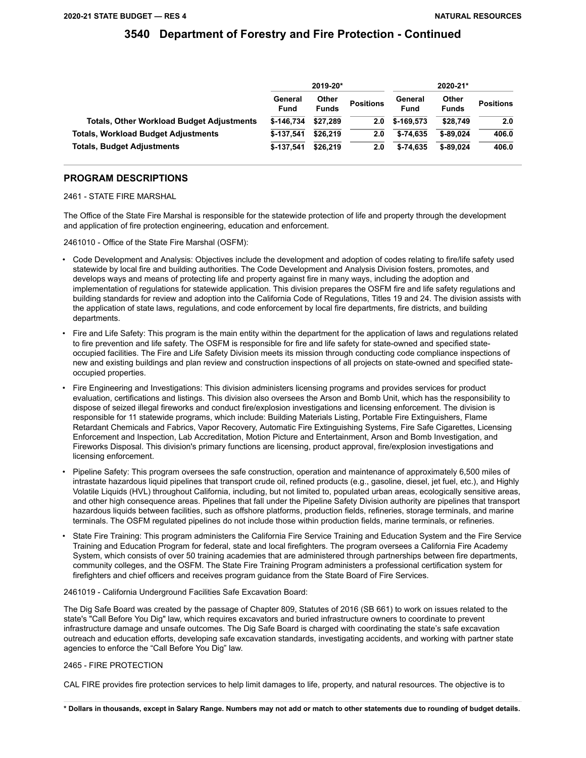|                                                  | 2019-20*        |                       |                  | 2020-21*               |                       |                  |
|--------------------------------------------------|-----------------|-----------------------|------------------|------------------------|-----------------------|------------------|
|                                                  | General<br>Fund | Other<br><b>Funds</b> | <b>Positions</b> | General<br><b>Fund</b> | Other<br><b>Funds</b> | <b>Positions</b> |
| <b>Totals, Other Workload Budget Adjustments</b> | \$-146.734      | \$27.289              | 2.0              | \$-169.573             | \$28,749              | 2.0              |
| <b>Totals, Workload Budget Adjustments</b>       | $$-137.541$     | \$26,219              | 2.0              | $$-74.635$             | $$-89.024$            | 406.0            |
| <b>Totals, Budget Adjustments</b>                | $$-137.541$     | \$26,219              | 2.0              | $$-74.635$             | $$-89.024$            | 406.0            |

### **PROGRAM DESCRIPTIONS**

2461 - STATE FIRE MARSHAL

The Office of the State Fire Marshal is responsible for the statewide protection of life and property through the development and application of fire protection engineering, education and enforcement.

2461010 - Office of the State Fire Marshal (OSFM):

- Code Development and Analysis: Objectives include the development and adoption of codes relating to fire/life safety used statewide by local fire and building authorities. The Code Development and Analysis Division fosters, promotes, and develops ways and means of protecting life and property against fire in many ways, including the adoption and implementation of regulations for statewide application. This division prepares the OSFM fire and life safety regulations and building standards for review and adoption into the California Code of Regulations, Titles 19 and 24. The division assists with the application of state laws, regulations, and code enforcement by local fire departments, fire districts, and building departments.
- Fire and Life Safety: This program is the main entity within the department for the application of laws and regulations related to fire prevention and life safety. The OSFM is responsible for fire and life safety for state-owned and specified stateoccupied facilities. The Fire and Life Safety Division meets its mission through conducting code compliance inspections of new and existing buildings and plan review and construction inspections of all projects on state-owned and specified stateoccupied properties.
- Fire Engineering and Investigations: This division administers licensing programs and provides services for product evaluation, certifications and listings. This division also oversees the Arson and Bomb Unit, which has the responsibility to dispose of seized illegal fireworks and conduct fire/explosion investigations and licensing enforcement. The division is responsible for 11 statewide programs, which include: Building Materials Listing, Portable Fire Extinguishers, Flame Retardant Chemicals and Fabrics, Vapor Recovery, Automatic Fire Extinguishing Systems, Fire Safe Cigarettes, Licensing Enforcement and Inspection, Lab Accreditation, Motion Picture and Entertainment, Arson and Bomb Investigation, and Fireworks Disposal. This division's primary functions are licensing, product approval, fire/explosion investigations and licensing enforcement.
- Pipeline Safety: This program oversees the safe construction, operation and maintenance of approximately 6,500 miles of intrastate hazardous liquid pipelines that transport crude oil, refined products (e.g., gasoline, diesel, jet fuel, etc.), and Highly Volatile Liquids (HVL) throughout California, including, but not limited to, populated urban areas, ecologically sensitive areas, and other high consequence areas. Pipelines that fall under the Pipeline Safety Division authority are pipelines that transport hazardous liquids between facilities, such as offshore platforms, production fields, refineries, storage terminals, and marine terminals. The OSFM regulated pipelines do not include those within production fields, marine terminals, or refineries.
- State Fire Training: This program administers the California Fire Service Training and Education System and the Fire Service Training and Education Program for federal, state and local firefighters. The program oversees a California Fire Academy System, which consists of over 50 training academies that are administered through partnerships between fire departments, community colleges, and the OSFM. The State Fire Training Program administers a professional certification system for firefighters and chief officers and receives program guidance from the State Board of Fire Services.

2461019 - California Underground Facilities Safe Excavation Board:

The Dig Safe Board was created by the passage of Chapter 809, Statutes of 2016 (SB 661) to work on issues related to the state's "Call Before You Dig" law, which requires excavators and buried infrastructure owners to coordinate to prevent infrastructure damage and unsafe outcomes. The Dig Safe Board is charged with coordinating the state's safe excavation outreach and education efforts, developing safe excavation standards, investigating accidents, and working with partner state agencies to enforce the "Call Before You Dig" law.

### 2465 - FIRE PROTECTION

CAL FIRE provides fire protection services to help limit damages to life, property, and natural resources. The objective is to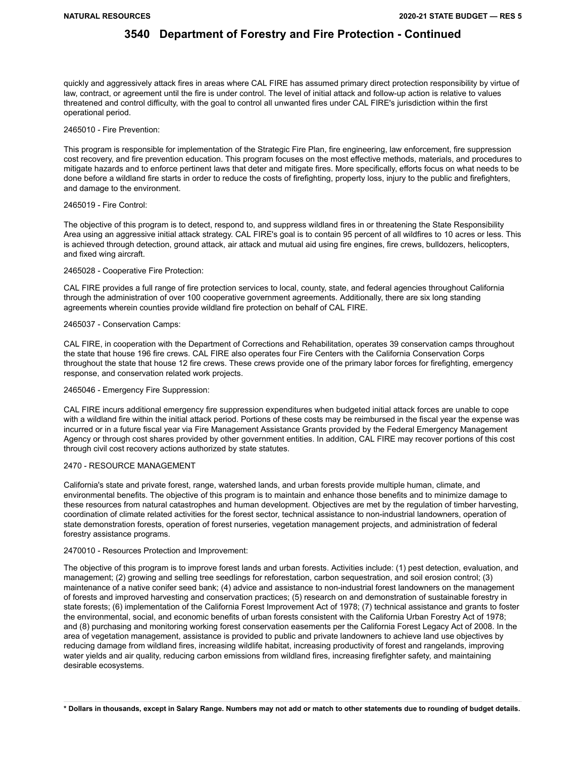quickly and aggressively attack fires in areas where CAL FIRE has assumed primary direct protection responsibility by virtue of law, contract, or agreement until the fire is under control. The level of initial attack and follow-up action is relative to values threatened and control difficulty, with the goal to control all unwanted fires under CAL FIRE's jurisdiction within the first operational period.

#### 2465010 - Fire Prevention:

This program is responsible for implementation of the Strategic Fire Plan, fire engineering, law enforcement, fire suppression cost recovery, and fire prevention education. This program focuses on the most effective methods, materials, and procedures to mitigate hazards and to enforce pertinent laws that deter and mitigate fires. More specifically, efforts focus on what needs to be done before a wildland fire starts in order to reduce the costs of firefighting, property loss, injury to the public and firefighters, and damage to the environment.

#### 2465019 - Fire Control:

The objective of this program is to detect, respond to, and suppress wildland fires in or threatening the State Responsibility Area using an aggressive initial attack strategy. CAL FIRE's goal is to contain 95 percent of all wildfires to 10 acres or less. This is achieved through detection, ground attack, air attack and mutual aid using fire engines, fire crews, bulldozers, helicopters, and fixed wing aircraft.

#### 2465028 - Cooperative Fire Protection:

CAL FIRE provides a full range of fire protection services to local, county, state, and federal agencies throughout California through the administration of over 100 cooperative government agreements. Additionally, there are six long standing agreements wherein counties provide wildland fire protection on behalf of CAL FIRE.

#### 2465037 - Conservation Camps:

CAL FIRE, in cooperation with the Department of Corrections and Rehabilitation, operates 39 conservation camps throughout the state that house 196 fire crews. CAL FIRE also operates four Fire Centers with the California Conservation Corps throughout the state that house 12 fire crews. These crews provide one of the primary labor forces for firefighting, emergency response, and conservation related work projects.

#### 2465046 - Emergency Fire Suppression:

CAL FIRE incurs additional emergency fire suppression expenditures when budgeted initial attack forces are unable to cope with a wildland fire within the initial attack period. Portions of these costs may be reimbursed in the fiscal year the expense was incurred or in a future fiscal year via Fire Management Assistance Grants provided by the Federal Emergency Management Agency or through cost shares provided by other government entities. In addition, CAL FIRE may recover portions of this cost through civil cost recovery actions authorized by state statutes.

### 2470 - RESOURCE MANAGEMENT

California's state and private forest, range, watershed lands, and urban forests provide multiple human, climate, and environmental benefits. The objective of this program is to maintain and enhance those benefits and to minimize damage to these resources from natural catastrophes and human development. Objectives are met by the regulation of timber harvesting, coordination of climate related activities for the forest sector, technical assistance to non-industrial landowners, operation of state demonstration forests, operation of forest nurseries, vegetation management projects, and administration of federal forestry assistance programs.

#### 2470010 - Resources Protection and Improvement:

The objective of this program is to improve forest lands and urban forests. Activities include: (1) pest detection, evaluation, and management; (2) growing and selling tree seedlings for reforestation, carbon sequestration, and soil erosion control; (3) maintenance of a native conifer seed bank; (4) advice and assistance to non-industrial forest landowners on the management of forests and improved harvesting and conservation practices; (5) research on and demonstration of sustainable forestry in state forests; (6) implementation of the California Forest Improvement Act of 1978; (7) technical assistance and grants to foster the environmental, social, and economic benefits of urban forests consistent with the California Urban Forestry Act of 1978; and (8) purchasing and monitoring working forest conservation easements per the California Forest Legacy Act of 2008. In the area of vegetation management, assistance is provided to public and private landowners to achieve land use objectives by reducing damage from wildland fires, increasing wildlife habitat, increasing productivity of forest and rangelands, improving water yields and air quality, reducing carbon emissions from wildland fires, increasing firefighter safety, and maintaining desirable ecosystems.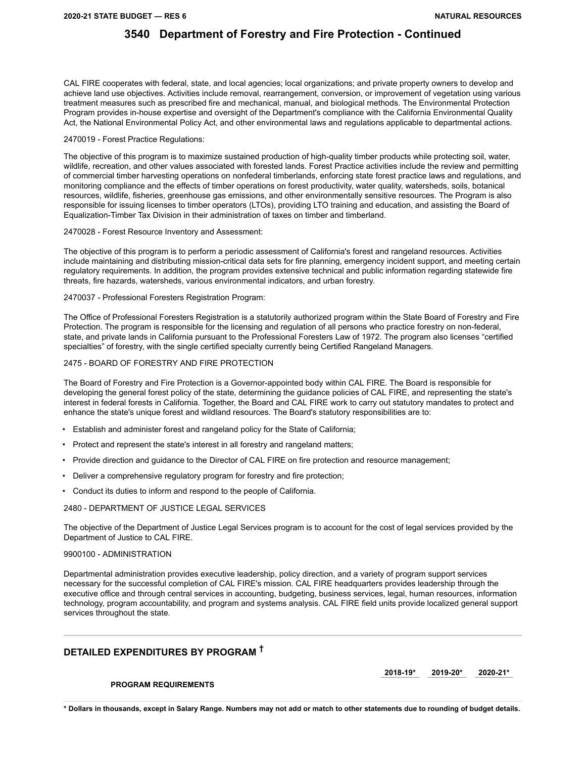CAL FIRE cooperates with federal, state, and local agencies; local organizations; and private property owners to develop and achieve land use objectives. Activities include removal, rearrangement, conversion, or improvement of vegetation using various treatment measures such as prescribed fire and mechanical, manual, and biological methods. The Environmental Protection Program provides in-house expertise and oversight of the Department's compliance with the California Environmental Quality Act, the National Environmental Policy Act, and other environmental laws and regulations applicable to departmental actions.

#### 2470019 - Forest Practice Regulations:

The objective of this program is to maximize sustained production of high-quality timber products while protecting soil, water, wildlife, recreation, and other values associated with forested lands. Forest Practice activities include the review and permitting of commercial timber harvesting operations on nonfederal timberlands, enforcing state forest practice laws and regulations, and monitoring compliance and the effects of timber operations on forest productivity, water quality, watersheds, soils, botanical resources, wildlife, fisheries, greenhouse gas emissions, and other environmentally sensitive resources. The Program is also responsible for issuing licenses to timber operators (LTOs), providing LTO training and education, and assisting the Board of Equalization-Timber Tax Division in their administration of taxes on timber and timberland.

#### 2470028 - Forest Resource Inventory and Assessment:

The objective of this program is to perform a periodic assessment of California's forest and rangeland resources. Activities include maintaining and distributing mission-critical data sets for fire planning, emergency incident support, and meeting certain regulatory requirements. In addition, the program provides extensive technical and public information regarding statewide fire threats, fire hazards, watersheds, various environmental indicators, and urban forestry.

#### 2470037 - Professional Foresters Registration Program:

The Office of Professional Foresters Registration is a statutorily authorized program within the State Board of Forestry and Fire Protection. The program is responsible for the licensing and regulation of all persons who practice forestry on non-federal, state, and private lands in California pursuant to the Professional Foresters Law of 1972. The program also licenses "certified specialties" of forestry, with the single certified specialty currently being Certified Rangeland Managers.

### 2475 - BOARD OF FORESTRY AND FIRE PROTECTION

The Board of Forestry and Fire Protection is a Governor-appointed body within CAL FIRE. The Board is responsible for developing the general forest policy of the state, determining the guidance policies of CAL FIRE, and representing the state's interest in federal forests in California. Together, the Board and CAL FIRE work to carry out statutory mandates to protect and enhance the state's unique forest and wildland resources. The Board's statutory responsibilities are to:

- Establish and administer forest and rangeland policy for the State of California;
- Protect and represent the state's interest in all forestry and rangeland matters;
- Provide direction and guidance to the Director of CAL FIRE on fire protection and resource management;
- Deliver a comprehensive regulatory program for forestry and fire protection;
- Conduct its duties to inform and respond to the people of California.

#### 2480 - DEPARTMENT OF JUSTICE LEGAL SERVICES

The objective of the Department of Justice Legal Services program is to account for the cost of legal services provided by the Department of Justice to CAL FIRE.

#### 9900100 - ADMINISTRATION

Departmental administration provides executive leadership, policy direction, and a variety of program support services necessary for the successful completion of CAL FIRE's mission. CAL FIRE headquarters provides leadership through the executive office and through central services in accounting, budgeting, business services, legal, human resources, information technology, program accountability, and program and systems analysis. CAL FIRE field units provide localized general support services throughout the state.

### **DETAILED EXPENDITURES BY PROGRAM †**

**2018-19\* 2019-20\* 2020-21\*** 

### **PROGRAM REQUIREMENTS**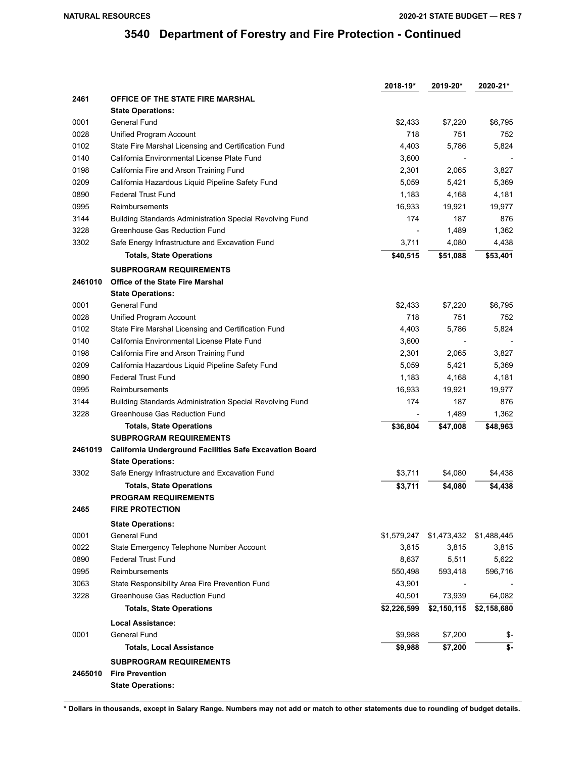|         |                                                          | 2018-19*    | 2019-20*    | 2020-21*    |
|---------|----------------------------------------------------------|-------------|-------------|-------------|
| 2461    | <b>OFFICE OF THE STATE FIRE MARSHAL</b>                  |             |             |             |
|         | <b>State Operations:</b>                                 |             |             |             |
| 0001    | General Fund                                             | \$2,433     | \$7,220     | \$6,795     |
| 0028    | Unified Program Account                                  | 718         | 751         | 752         |
| 0102    | State Fire Marshal Licensing and Certification Fund      | 4,403       | 5,786       | 5,824       |
| 0140    | California Environmental License Plate Fund              | 3,600       |             |             |
| 0198    | California Fire and Arson Training Fund                  | 2,301       | 2,065       | 3,827       |
| 0209    | California Hazardous Liquid Pipeline Safety Fund         | 5,059       | 5,421       | 5,369       |
| 0890    | Federal Trust Fund                                       | 1,183       | 4,168       | 4,181       |
| 0995    | Reimbursements                                           | 16,933      | 19,921      | 19,977      |
| 3144    | Building Standards Administration Special Revolving Fund | 174         | 187         | 876         |
| 3228    | Greenhouse Gas Reduction Fund                            |             | 1,489       | 1,362       |
| 3302    | Safe Energy Infrastructure and Excavation Fund           | 3,711       | 4,080       | 4,438       |
|         | <b>Totals, State Operations</b>                          | \$40,515    | \$51,088    | \$53,401    |
|         | <b>SUBPROGRAM REQUIREMENTS</b>                           |             |             |             |
| 2461010 | <b>Office of the State Fire Marshal</b>                  |             |             |             |
|         | <b>State Operations:</b>                                 |             |             |             |
| 0001    | General Fund                                             | \$2,433     | \$7,220     | \$6,795     |
| 0028    | Unified Program Account                                  | 718         | 751         | 752         |
| 0102    | State Fire Marshal Licensing and Certification Fund      | 4,403       | 5,786       | 5,824       |
| 0140    | California Environmental License Plate Fund              | 3,600       |             |             |
| 0198    | California Fire and Arson Training Fund                  | 2,301       | 2,065       | 3,827       |
| 0209    | California Hazardous Liquid Pipeline Safety Fund         | 5,059       | 5,421       | 5,369       |
| 0890    | Federal Trust Fund                                       | 1,183       | 4,168       | 4,181       |
| 0995    | Reimbursements                                           | 16,933      | 19,921      | 19,977      |
| 3144    | Building Standards Administration Special Revolving Fund | 174         | 187         | 876         |
| 3228    | Greenhouse Gas Reduction Fund                            |             | 1,489       | 1,362       |
|         | <b>Totals, State Operations</b>                          | \$36,804    | \$47,008    | \$48,963    |
|         | <b>SUBPROGRAM REQUIREMENTS</b>                           |             |             |             |
| 2461019 | California Underground Facilities Safe Excavation Board  |             |             |             |
|         | <b>State Operations:</b>                                 |             |             |             |
| 3302    | Safe Energy Infrastructure and Excavation Fund           | \$3,711     | \$4,080     | \$4,438     |
|         | <b>Totals, State Operations</b>                          | \$3,711     | \$4,080     | \$4,438     |
|         | <b>PROGRAM REQUIREMENTS</b>                              |             |             |             |
| 2465    | <b>FIRE PROTECTION</b>                                   |             |             |             |
|         | <b>State Operations:</b>                                 |             |             |             |
| 0001    | General Fund                                             | \$1,579,247 | \$1,473,432 | \$1,488,445 |
| 0022    | State Emergency Telephone Number Account                 | 3,815       | 3,815       | 3,815       |
| 0890    | <b>Federal Trust Fund</b>                                | 8,637       | 5,511       | 5,622       |
| 0995    | Reimbursements                                           | 550,498     | 593,418     | 596,716     |
| 3063    | State Responsibility Area Fire Prevention Fund           | 43,901      |             |             |
| 3228    | Greenhouse Gas Reduction Fund                            | 40,501      | 73,939      | 64,082      |
|         | <b>Totals, State Operations</b>                          | \$2,226,599 | \$2,150,115 | \$2,158,680 |
|         |                                                          |             |             |             |
| 0001    | <b>Local Assistance:</b><br>General Fund                 | \$9,988     | \$7,200     |             |
|         |                                                          |             |             | \$-         |
|         | <b>Totals, Local Assistance</b>                          | \$9,988     | \$7,200     | \$-         |
|         | <b>SUBPROGRAM REQUIREMENTS</b>                           |             |             |             |
| 2465010 | <b>Fire Prevention</b>                                   |             |             |             |
|         | <b>State Operations:</b>                                 |             |             |             |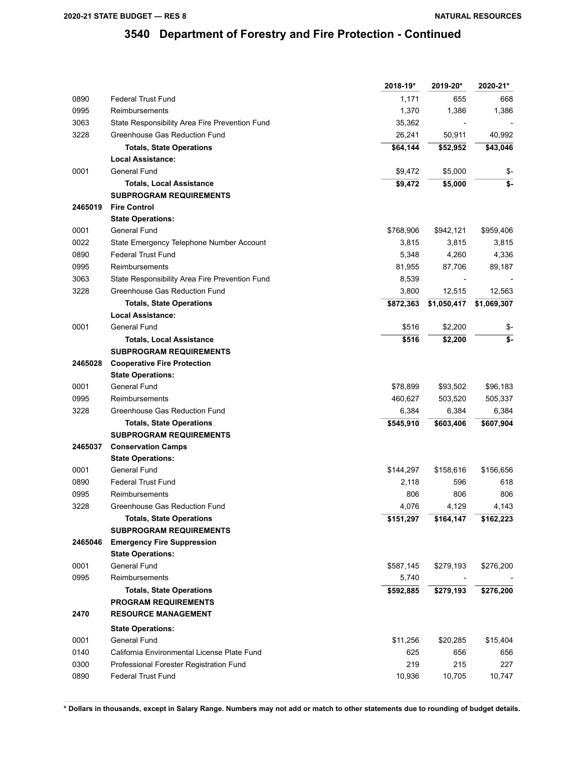|         |                                                | 2018-19*  | 2019-20*    | 2020-21*    |
|---------|------------------------------------------------|-----------|-------------|-------------|
| 0890    | <b>Federal Trust Fund</b>                      | 1,171     | 655         | 668         |
| 0995    | Reimbursements                                 | 1,370     | 1,386       | 1,386       |
| 3063    | State Responsibility Area Fire Prevention Fund | 35,362    |             |             |
| 3228    | Greenhouse Gas Reduction Fund                  | 26,241    | 50,911      | 40,992      |
|         | <b>Totals, State Operations</b>                | \$64,144  | \$52,952    | \$43,046    |
|         | <b>Local Assistance:</b>                       |           |             |             |
| 0001    | General Fund                                   | \$9,472   | \$5,000     | \$-         |
|         | <b>Totals, Local Assistance</b>                | \$9,472   | \$5,000     | \$-         |
|         | <b>SUBPROGRAM REQUIREMENTS</b>                 |           |             |             |
| 2465019 | <b>Fire Control</b>                            |           |             |             |
|         | <b>State Operations:</b>                       |           |             |             |
| 0001    | General Fund                                   | \$768,906 | \$942,121   | \$959,406   |
| 0022    | State Emergency Telephone Number Account       | 3,815     | 3,815       | 3,815       |
| 0890    | <b>Federal Trust Fund</b>                      | 5,348     | 4,260       | 4,336       |
| 0995    | Reimbursements                                 | 81,955    | 87,706      | 89,187      |
| 3063    | State Responsibility Area Fire Prevention Fund | 8,539     |             |             |
| 3228    | Greenhouse Gas Reduction Fund                  | 3,800     | 12,515      | 12,563      |
|         | <b>Totals, State Operations</b>                | \$872,363 | \$1,050,417 | \$1,069,307 |
|         | <b>Local Assistance:</b>                       |           |             |             |
| 0001    | General Fund                                   | \$516     | \$2,200     | \$-         |
|         | <b>Totals, Local Assistance</b>                | \$516     | \$2,200     | \$-         |
|         | <b>SUBPROGRAM REQUIREMENTS</b>                 |           |             |             |
| 2465028 | <b>Cooperative Fire Protection</b>             |           |             |             |
|         | <b>State Operations:</b>                       |           |             |             |
| 0001    | General Fund                                   | \$78,899  | \$93,502    | \$96,183    |
| 0995    | Reimbursements                                 | 460,627   | 503,520     | 505,337     |
| 3228    | Greenhouse Gas Reduction Fund                  | 6,384     | 6,384       | 6,384       |
|         | <b>Totals, State Operations</b>                | \$545,910 | \$603,406   | \$607,904   |
|         | <b>SUBPROGRAM REQUIREMENTS</b>                 |           |             |             |
| 2465037 | <b>Conservation Camps</b>                      |           |             |             |
|         | <b>State Operations:</b>                       |           |             |             |
| 0001    | General Fund                                   | \$144,297 | \$158,616   | \$156,656   |
| 0890    | <b>Federal Trust Fund</b>                      | 2,118     | 596         | 618         |
| 0995    | Reimbursements                                 | 806       | 806         | 806         |
| 3228    | Greenhouse Gas Reduction Fund                  | 4,076     | 4,129       | 4,143       |
|         | <b>Totals, State Operations</b>                | \$151,297 | \$164,147   | \$162,223   |
|         | <b>SUBPROGRAM REQUIREMENTS</b>                 |           |             |             |
| 2465046 | <b>Emergency Fire Suppression</b>              |           |             |             |
|         | <b>State Operations:</b>                       |           |             |             |
| 0001    | General Fund                                   | \$587,145 | \$279,193   | \$276,200   |
| 0995    | Reimbursements                                 | 5,740     |             |             |
|         | <b>Totals, State Operations</b>                | \$592,885 | \$279,193   | \$276,200   |
|         | <b>PROGRAM REQUIREMENTS</b>                    |           |             |             |
| 2470    | <b>RESOURCE MANAGEMENT</b>                     |           |             |             |
|         | <b>State Operations:</b>                       |           |             |             |
| 0001    | General Fund                                   | \$11,256  | \$20,285    | \$15,404    |
| 0140    | California Environmental License Plate Fund    | 625       | 656         | 656         |
| 0300    | Professional Forester Registration Fund        | 219       | 215         | 227         |
| 0890    | <b>Federal Trust Fund</b>                      | 10,936    | 10,705      | 10,747      |
|         |                                                |           |             |             |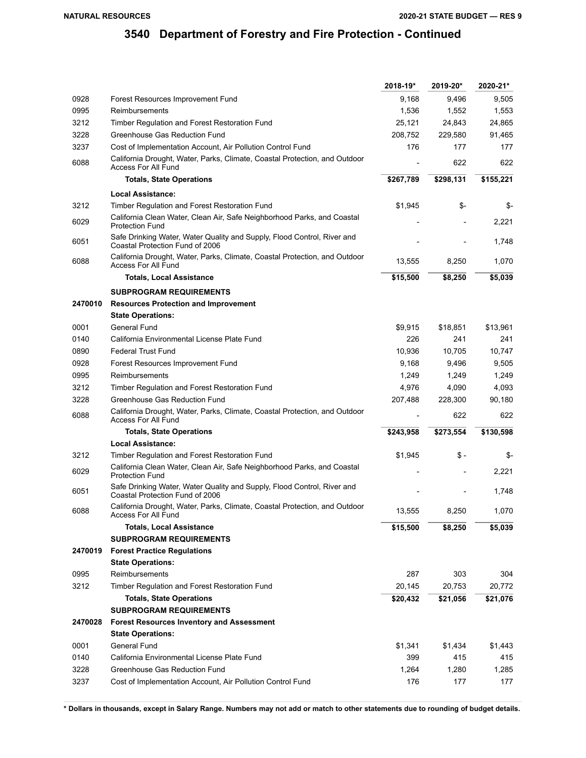|         |                                                                                                            | 2018-19*  | 2019-20*  | 2020-21*  |
|---------|------------------------------------------------------------------------------------------------------------|-----------|-----------|-----------|
| 0928    | Forest Resources Improvement Fund                                                                          | 9,168     | 9,496     | 9,505     |
| 0995    | Reimbursements                                                                                             | 1,536     | 1,552     | 1,553     |
| 3212    | Timber Regulation and Forest Restoration Fund                                                              | 25,121    | 24,843    | 24,865    |
| 3228    | Greenhouse Gas Reduction Fund                                                                              | 208,752   | 229.580   | 91,465    |
| 3237    | Cost of Implementation Account, Air Pollution Control Fund                                                 | 176       | 177       | 177       |
| 6088    | California Drought, Water, Parks, Climate, Coastal Protection, and Outdoor<br><b>Access For All Fund</b>   |           | 622       | 622       |
|         | <b>Totals, State Operations</b>                                                                            | \$267,789 | \$298,131 | \$155,221 |
|         | Local Assistance:                                                                                          |           |           |           |
| 3212    | Timber Regulation and Forest Restoration Fund                                                              | \$1,945   | \$-       | \$-       |
| 6029    | California Clean Water, Clean Air, Safe Neighborhood Parks, and Coastal<br><b>Protection Fund</b>          |           |           | 2,221     |
| 6051    | Safe Drinking Water, Water Quality and Supply, Flood Control, River and<br>Coastal Protection Fund of 2006 |           |           | 1,748     |
| 6088    | California Drought, Water, Parks, Climate, Coastal Protection, and Outdoor<br><b>Access For All Fund</b>   | 13,555    | 8,250     | 1,070     |
|         | <b>Totals, Local Assistance</b>                                                                            | \$15,500  | \$8,250   | \$5,039   |
|         | <b>SUBPROGRAM REQUIREMENTS</b>                                                                             |           |           |           |
| 2470010 | <b>Resources Protection and Improvement</b>                                                                |           |           |           |
|         | <b>State Operations:</b>                                                                                   |           |           |           |
| 0001    | General Fund                                                                                               | \$9.915   | \$18,851  | \$13,961  |
| 0140    | California Environmental License Plate Fund                                                                | 226       | 241       | 241       |
| 0890    | <b>Federal Trust Fund</b>                                                                                  | 10,936    | 10.705    | 10,747    |
| 0928    | Forest Resources Improvement Fund                                                                          | 9,168     | 9,496     | 9,505     |
| 0995    | Reimbursements                                                                                             | 1,249     | 1,249     | 1,249     |
| 3212    | Timber Regulation and Forest Restoration Fund                                                              | 4,976     | 4,090     | 4,093     |
| 3228    | Greenhouse Gas Reduction Fund                                                                              | 207,488   | 228,300   | 90,180    |
| 6088    | California Drought, Water, Parks, Climate, Coastal Protection, and Outdoor<br><b>Access For All Fund</b>   |           | 622       | 622       |
|         | <b>Totals, State Operations</b>                                                                            | \$243,958 | \$273,554 | \$130,598 |
|         | <b>Local Assistance:</b>                                                                                   |           |           |           |
| 3212    | Timber Regulation and Forest Restoration Fund                                                              | \$1,945   | \$-       | \$-       |
| 6029    | California Clean Water, Clean Air, Safe Neighborhood Parks, and Coastal<br><b>Protection Fund</b>          |           |           | 2,221     |
| 6051    | Safe Drinking Water, Water Quality and Supply, Flood Control, River and<br>Coastal Protection Fund of 2006 |           |           | 1,748     |
| 6088    | California Drought, Water, Parks, Climate, Coastal Protection, and Outdoor<br>Access For All Fund          | 13,555    | 8,250     | 1,070     |
|         | <b>Totals, Local Assistance</b>                                                                            | \$15,500  | \$8,250   | \$5,039   |
|         | <b>SUBPROGRAM REQUIREMENTS</b>                                                                             |           |           |           |
| 2470019 | <b>Forest Practice Regulations</b>                                                                         |           |           |           |
|         | <b>State Operations:</b>                                                                                   |           |           |           |
| 0995    | Reimbursements                                                                                             | 287       | 303       | 304       |
| 3212    | Timber Regulation and Forest Restoration Fund                                                              | 20,145    | 20,753    | 20,772    |
|         | <b>Totals, State Operations</b>                                                                            | \$20,432  | \$21,056  | \$21,076  |
|         | <b>SUBPROGRAM REQUIREMENTS</b>                                                                             |           |           |           |
| 2470028 | <b>Forest Resources Inventory and Assessment</b>                                                           |           |           |           |
|         | <b>State Operations:</b>                                                                                   |           |           |           |
| 0001    | General Fund                                                                                               | \$1,341   | \$1,434   | \$1,443   |
| 0140    | California Environmental License Plate Fund                                                                | 399       | 415       | 415       |
| 3228    | Greenhouse Gas Reduction Fund                                                                              | 1,264     | 1,280     | 1,285     |
| 3237    | Cost of Implementation Account, Air Pollution Control Fund                                                 | 176       | 177       | 177       |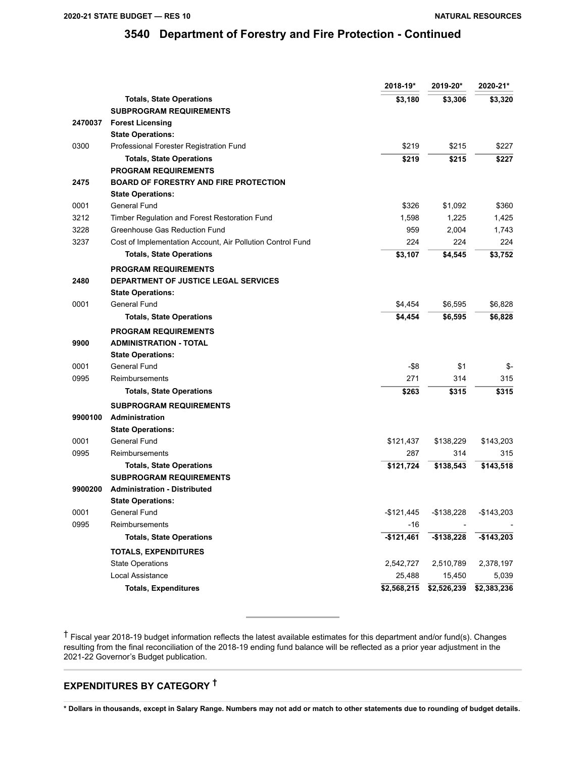|         |                                                            | 2018-19*    | 2019-20*    | 2020-21*    |
|---------|------------------------------------------------------------|-------------|-------------|-------------|
|         | <b>Totals, State Operations</b>                            | \$3,180     | \$3,306     | \$3,320     |
|         | <b>SUBPROGRAM REQUIREMENTS</b>                             |             |             |             |
| 2470037 | <b>Forest Licensing</b>                                    |             |             |             |
|         | <b>State Operations:</b>                                   |             |             |             |
| 0300    | Professional Forester Registration Fund                    | \$219       | \$215       | \$227       |
|         | <b>Totals, State Operations</b>                            | \$219       | \$215       | \$227       |
|         | <b>PROGRAM REQUIREMENTS</b>                                |             |             |             |
| 2475    | <b>BOARD OF FORESTRY AND FIRE PROTECTION</b>               |             |             |             |
|         | <b>State Operations:</b>                                   |             |             |             |
| 0001    | General Fund                                               | \$326       | \$1,092     | \$360       |
| 3212    | Timber Regulation and Forest Restoration Fund              | 1,598       | 1,225       | 1,425       |
| 3228    | Greenhouse Gas Reduction Fund                              | 959         | 2,004       | 1,743       |
| 3237    | Cost of Implementation Account, Air Pollution Control Fund | 224         | 224         | 224         |
|         | <b>Totals, State Operations</b>                            | \$3,107     | \$4,545     | \$3,752     |
|         | <b>PROGRAM REQUIREMENTS</b>                                |             |             |             |
| 2480    | <b>DEPARTMENT OF JUSTICE LEGAL SERVICES</b>                |             |             |             |
|         | <b>State Operations:</b>                                   |             |             |             |
| 0001    | General Fund                                               | \$4,454     | \$6,595     | \$6,828     |
|         | <b>Totals, State Operations</b>                            | \$4,454     | \$6,595     | \$6,828     |
|         | <b>PROGRAM REQUIREMENTS</b>                                |             |             |             |
| 9900    | <b>ADMINISTRATION - TOTAL</b>                              |             |             |             |
|         | <b>State Operations:</b>                                   |             |             |             |
| 0001    | General Fund                                               | -\$8        | \$1         | \$-         |
| 0995    | Reimbursements                                             | 271         | 314         | 315         |
|         | <b>Totals, State Operations</b>                            | \$263       | \$315       | \$315       |
|         | <b>SUBPROGRAM REQUIREMENTS</b>                             |             |             |             |
| 9900100 | <b>Administration</b>                                      |             |             |             |
|         | <b>State Operations:</b>                                   |             |             |             |
| 0001    | General Fund                                               | \$121,437   | \$138,229   | \$143,203   |
| 0995    | Reimbursements                                             | 287         | 314         | 315         |
|         | <b>Totals, State Operations</b>                            | \$121,724   | \$138,543   | \$143,518   |
|         | <b>SUBPROGRAM REQUIREMENTS</b>                             |             |             |             |
| 9900200 | <b>Administration - Distributed</b>                        |             |             |             |
|         | <b>State Operations:</b>                                   |             |             |             |
| 0001    | General Fund                                               | $-$121,445$ | $-$138,228$ | $-$143,203$ |
| 0995    | Reimbursements                                             | -16         |             |             |
|         | <b>Totals, State Operations</b>                            | $-$121,461$ | $-$138,228$ | $-$143,203$ |
|         | <b>TOTALS, EXPENDITURES</b>                                |             |             |             |
|         | <b>State Operations</b>                                    | 2,542,727   | 2,510,789   | 2,378,197   |
|         | Local Assistance                                           | 25,488      | 15,450      | 5,039       |
|         | <b>Totals, Expenditures</b>                                | \$2,568,215 | \$2,526,239 | \$2,383,236 |
|         |                                                            |             |             |             |

† Fiscal year 2018-19 budget information reflects the latest available estimates for this department and/or fund(s). Changes resulting from the final reconciliation of the 2018-19 ending fund balance will be reflected as a prior year adjustment in the 2021-22 Governor's Budget publication.

## **EXPENDITURES BY CATEGORY †**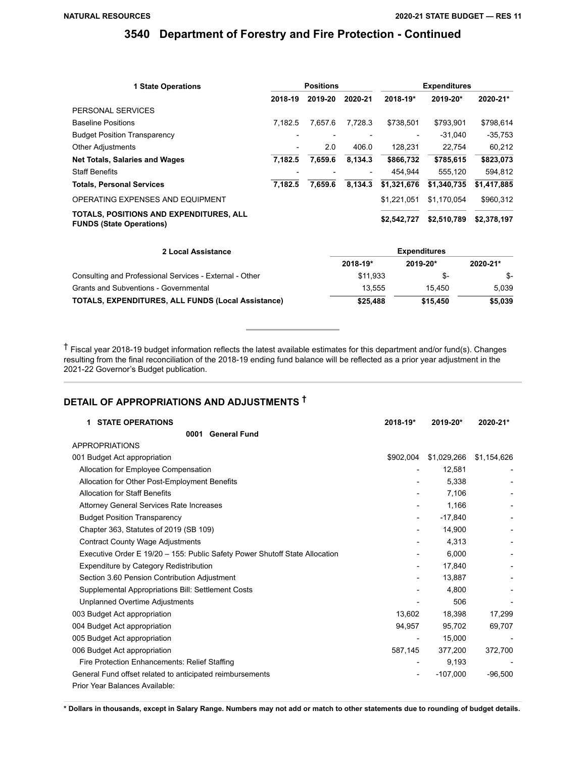| <b>1 State Operations</b>                                                  | <b>Positions</b> |         |                          | <b>Expenditures</b> |             |             |
|----------------------------------------------------------------------------|------------------|---------|--------------------------|---------------------|-------------|-------------|
|                                                                            | 2018-19          | 2019-20 | 2020-21                  | 2018-19*            | 2019-20*    | 2020-21*    |
| PERSONAL SERVICES                                                          |                  |         |                          |                     |             |             |
| <b>Baseline Positions</b>                                                  | 7.182.5          | 7.657.6 | 7.728.3                  | \$738.501           | \$793.901   | \$798,614   |
| <b>Budget Position Transparency</b>                                        |                  |         |                          |                     | $-31.040$   | $-35,753$   |
| <b>Other Adjustments</b>                                                   |                  | 2.0     | 406.0                    | 128.231             | 22.754      | 60,212      |
| <b>Net Totals, Salaries and Wages</b>                                      | 7.182.5          | 7,659.6 | 8,134.3                  | \$866,732           | \$785,615   | \$823,073   |
| <b>Staff Benefits</b>                                                      |                  |         | $\overline{\phantom{a}}$ | 454.944             | 555,120     | 594,812     |
| <b>Totals, Personal Services</b>                                           | 7.182.5          | 7.659.6 | 8,134.3                  | \$1,321,676         | \$1,340,735 | \$1,417,885 |
| OPERATING EXPENSES AND EQUIPMENT                                           |                  |         |                          | \$1,221,051         | \$1.170.054 | \$960,312   |
| TOTALS, POSITIONS AND EXPENDITURES, ALL<br><b>FUNDS (State Operations)</b> |                  |         |                          | \$2,542,727         | \$2,510,789 | \$2,378,197 |

| 2 Local Assistance                                        | <b>Expenditures</b> |          |          |  |  |
|-----------------------------------------------------------|---------------------|----------|----------|--|--|
|                                                           | 2018-19*            | 2019-20* | 2020-21* |  |  |
| Consulting and Professional Services - External - Other   | \$11.933            | \$-      | S-       |  |  |
| Grants and Subventions - Governmental                     | 13.555              | 15.450   | 5.039    |  |  |
| <b>TOTALS, EXPENDITURES, ALL FUNDS (Local Assistance)</b> | \$25,488            | \$15,450 | \$5,039  |  |  |

† Fiscal year 2018-19 budget information reflects the latest available estimates for this department and/or fund(s). Changes resulting from the final reconciliation of the 2018-19 ending fund balance will be reflected as a prior year adjustment in the 2021-22 Governor's Budget publication.

# **DETAIL OF APPROPRIATIONS AND ADJUSTMENTS †**

| <b>STATE OPERATIONS</b><br>1.                                               | 2018-19*                 | 2019-20*    | 2020-21*    |
|-----------------------------------------------------------------------------|--------------------------|-------------|-------------|
| <b>General Fund</b><br>0001                                                 |                          |             |             |
| <b>APPROPRIATIONS</b>                                                       |                          |             |             |
| 001 Budget Act appropriation                                                | \$902,004                | \$1,029,266 | \$1,154,626 |
| Allocation for Employee Compensation                                        |                          | 12,581      |             |
| Allocation for Other Post-Employment Benefits                               | $\overline{\phantom{0}}$ | 5,338       |             |
| <b>Allocation for Staff Benefits</b>                                        | $\overline{\phantom{a}}$ | 7,106       |             |
| Attorney General Services Rate Increases                                    | -                        | 1,166       |             |
| <b>Budget Position Transparency</b>                                         | $\overline{\phantom{0}}$ | $-17,840$   |             |
| Chapter 363, Statutes of 2019 (SB 109)                                      | -                        | 14,900      |             |
| <b>Contract County Wage Adjustments</b>                                     |                          | 4,313       |             |
| Executive Order E 19/20 - 155: Public Safety Power Shutoff State Allocation |                          | 6,000       |             |
| Expenditure by Category Redistribution                                      | $\overline{\phantom{0}}$ | 17,840      |             |
| Section 3.60 Pension Contribution Adjustment                                |                          | 13,887      |             |
| Supplemental Appropriations Bill: Settlement Costs                          |                          | 4,800       |             |
| <b>Unplanned Overtime Adjustments</b>                                       |                          | 506         |             |
| 003 Budget Act appropriation                                                | 13,602                   | 18,398      | 17,299      |
| 004 Budget Act appropriation                                                | 94,957                   | 95,702      | 69,707      |
| 005 Budget Act appropriation                                                |                          | 15.000      |             |
| 006 Budget Act appropriation                                                | 587,145                  | 377,200     | 372,700     |
| Fire Protection Enhancements: Relief Staffing                               |                          | 9,193       |             |
| General Fund offset related to anticipated reimbursements                   | $\overline{\phantom{0}}$ | $-107,000$  | $-96,500$   |
| Prior Year Balances Available:                                              |                          |             |             |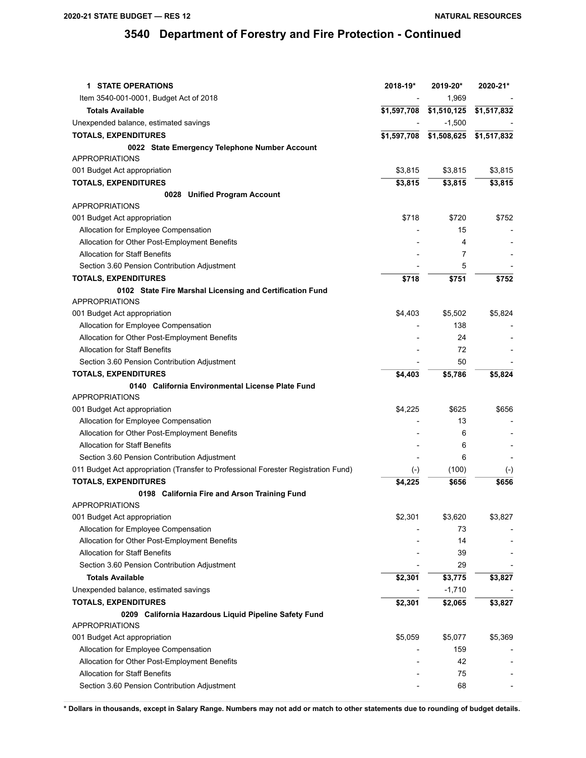| <b>1 STATE OPERATIONS</b>                                                          | 2018-19*    | 2019-20*    | 2020-21*    |
|------------------------------------------------------------------------------------|-------------|-------------|-------------|
| Item 3540-001-0001, Budget Act of 2018                                             |             | 1,969       |             |
| <b>Totals Available</b>                                                            | \$1,597,708 | \$1,510,125 | \$1,517,832 |
| Unexpended balance, estimated savings                                              |             | $-1,500$    |             |
| <b>TOTALS, EXPENDITURES</b>                                                        | \$1,597,708 | \$1,508,625 | \$1,517,832 |
| 0022 State Emergency Telephone Number Account                                      |             |             |             |
| <b>APPROPRIATIONS</b>                                                              |             |             |             |
| 001 Budget Act appropriation                                                       | \$3,815     | \$3,815     | \$3,815     |
| <b>TOTALS, EXPENDITURES</b>                                                        | \$3,815     | \$3,815     | \$3,815     |
| 0028 Unified Program Account                                                       |             |             |             |
| <b>APPROPRIATIONS</b>                                                              |             |             |             |
| 001 Budget Act appropriation                                                       | \$718       | \$720       | \$752       |
| Allocation for Employee Compensation                                               |             | 15          |             |
| Allocation for Other Post-Employment Benefits                                      |             | 4           |             |
| <b>Allocation for Staff Benefits</b>                                               |             | 7           |             |
| Section 3.60 Pension Contribution Adjustment                                       |             | 5           |             |
| <b>TOTALS, EXPENDITURES</b>                                                        | \$718       | \$751       | \$752       |
| 0102 State Fire Marshal Licensing and Certification Fund                           |             |             |             |
| <b>APPROPRIATIONS</b>                                                              |             |             |             |
| 001 Budget Act appropriation                                                       | \$4,403     | \$5,502     | \$5,824     |
| Allocation for Employee Compensation                                               |             | 138         |             |
| Allocation for Other Post-Employment Benefits                                      |             | 24          |             |
| <b>Allocation for Staff Benefits</b>                                               |             | 72          |             |
| Section 3.60 Pension Contribution Adjustment                                       |             | 50          |             |
| <b>TOTALS, EXPENDITURES</b>                                                        | \$4,403     | \$5,786     | \$5,824     |
| 0140 California Environmental License Plate Fund                                   |             |             |             |
| <b>APPROPRIATIONS</b>                                                              |             |             |             |
| 001 Budget Act appropriation                                                       | \$4,225     | \$625       | \$656       |
| Allocation for Employee Compensation                                               |             | 13          |             |
| Allocation for Other Post-Employment Benefits                                      |             | 6           |             |
| <b>Allocation for Staff Benefits</b>                                               |             | 6           |             |
| Section 3.60 Pension Contribution Adjustment                                       |             | 6           |             |
| 011 Budget Act appropriation (Transfer to Professional Forester Registration Fund) | $(-)$       | (100)       | $(-)$       |
| <b>TOTALS, EXPENDITURES</b>                                                        | \$4,225     | \$656       | \$656       |
| 0198 California Fire and Arson Training Fund                                       |             |             |             |
| <b>APPROPRIATIONS</b>                                                              |             |             |             |
| 001 Budget Act appropriation                                                       | \$2,301     | \$3,620     | \$3,827     |
| Allocation for Employee Compensation                                               |             | 73          |             |
| Allocation for Other Post-Employment Benefits                                      |             | 14          |             |
| <b>Allocation for Staff Benefits</b>                                               |             | 39          |             |
| Section 3.60 Pension Contribution Adjustment                                       |             | 29          |             |
| <b>Totals Available</b>                                                            | \$2,301     | \$3,775     | \$3,827     |
| Unexpended balance, estimated savings                                              |             | $-1,710$    |             |
| <b>TOTALS, EXPENDITURES</b>                                                        | \$2,301     | \$2,065     | \$3,827     |
| 0209 California Hazardous Liquid Pipeline Safety Fund                              |             |             |             |
| <b>APPROPRIATIONS</b>                                                              |             |             |             |
| 001 Budget Act appropriation                                                       | \$5,059     | \$5,077     | \$5,369     |
| Allocation for Employee Compensation                                               |             | 159         |             |
| Allocation for Other Post-Employment Benefits                                      |             | 42          |             |
| <b>Allocation for Staff Benefits</b>                                               |             | 75          |             |
| Section 3.60 Pension Contribution Adjustment                                       |             | 68          |             |
|                                                                                    |             |             |             |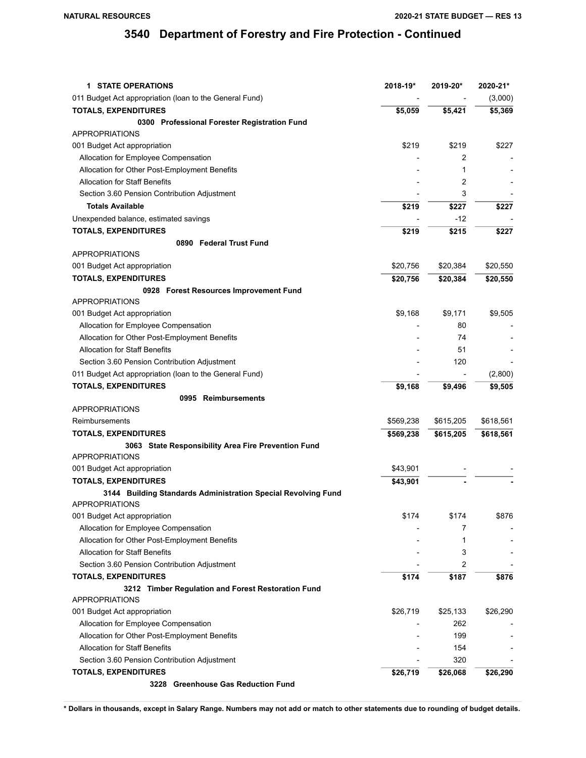| <b>1 STATE OPERATIONS</b>                                     | 2018-19*  | 2019-20*  | 2020-21*  |
|---------------------------------------------------------------|-----------|-----------|-----------|
| 011 Budget Act appropriation (Ioan to the General Fund)       |           |           | (3,000)   |
| <b>TOTALS, EXPENDITURES</b>                                   | \$5,059   | \$5,421   | \$5,369   |
| 0300 Professional Forester Registration Fund                  |           |           |           |
| <b>APPROPRIATIONS</b>                                         |           |           |           |
| 001 Budget Act appropriation                                  | \$219     | \$219     | \$227     |
| Allocation for Employee Compensation                          |           | 2         |           |
| Allocation for Other Post-Employment Benefits                 |           | 1         |           |
| <b>Allocation for Staff Benefits</b>                          |           | 2         |           |
| Section 3.60 Pension Contribution Adjustment                  |           | 3         |           |
| <b>Totals Available</b>                                       | \$219     | \$227     | \$227     |
| Unexpended balance, estimated savings                         |           | $-12$     |           |
| <b>TOTALS, EXPENDITURES</b>                                   | \$219     | \$215     | \$227     |
| 0890 Federal Trust Fund                                       |           |           |           |
| <b>APPROPRIATIONS</b>                                         |           |           |           |
| 001 Budget Act appropriation                                  | \$20,756  | \$20,384  | \$20,550  |
| <b>TOTALS, EXPENDITURES</b>                                   | \$20,756  | \$20,384  | \$20,550  |
| 0928 Forest Resources Improvement Fund                        |           |           |           |
| <b>APPROPRIATIONS</b>                                         |           |           |           |
| 001 Budget Act appropriation                                  | \$9,168   | \$9,171   | \$9,505   |
| Allocation for Employee Compensation                          |           | 80        |           |
| Allocation for Other Post-Employment Benefits                 |           | 74        |           |
| <b>Allocation for Staff Benefits</b>                          |           | 51        |           |
| Section 3.60 Pension Contribution Adjustment                  |           | 120       |           |
| 011 Budget Act appropriation (Ioan to the General Fund)       |           |           | (2,800)   |
| <b>TOTALS, EXPENDITURES</b>                                   | \$9,168   | \$9,496   | \$9,505   |
| 0995 Reimbursements                                           |           |           |           |
| <b>APPROPRIATIONS</b>                                         |           |           |           |
| Reimbursements                                                | \$569,238 | \$615,205 | \$618,561 |
| <b>TOTALS, EXPENDITURES</b>                                   | \$569,238 | \$615,205 | \$618,561 |
| 3063 State Responsibility Area Fire Prevention Fund           |           |           |           |
| <b>APPROPRIATIONS</b>                                         |           |           |           |
| 001 Budget Act appropriation                                  | \$43,901  |           |           |
| <b>TOTALS, EXPENDITURES</b>                                   | \$43,901  |           |           |
| 3144 Building Standards Administration Special Revolving Fund |           |           |           |
| <b>APPROPRIATIONS</b>                                         |           |           |           |
| 001 Budget Act appropriation                                  | \$174     | \$174     | \$876     |
| Allocation for Employee Compensation                          |           | 7         |           |
| Allocation for Other Post-Employment Benefits                 |           | 1         |           |
| <b>Allocation for Staff Benefits</b>                          |           | 3         |           |
| Section 3.60 Pension Contribution Adjustment                  |           | 2         |           |
| <b>TOTALS, EXPENDITURES</b>                                   | \$174     | \$187     | \$876     |
| 3212 Timber Regulation and Forest Restoration Fund            |           |           |           |
| <b>APPROPRIATIONS</b>                                         |           |           |           |
| 001 Budget Act appropriation                                  | \$26,719  | \$25,133  | \$26,290  |
| Allocation for Employee Compensation                          |           | 262       |           |
| Allocation for Other Post-Employment Benefits                 |           | 199       |           |
| <b>Allocation for Staff Benefits</b>                          |           | 154       |           |
| Section 3.60 Pension Contribution Adjustment                  |           | 320       |           |
| <b>TOTALS, EXPENDITURES</b>                                   | \$26,719  | \$26,068  | \$26,290  |
| 3228 Greenhouse Gas Reduction Fund                            |           |           |           |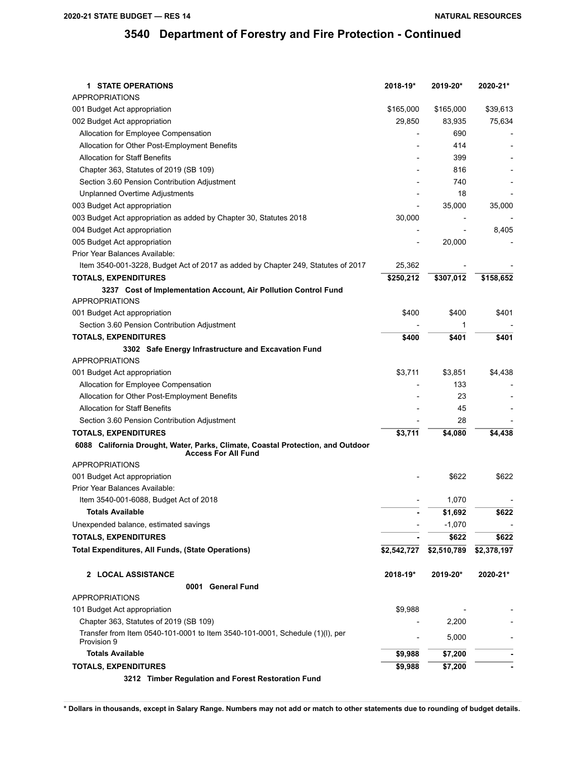| <b>1 STATE OPERATIONS</b>                                                                                     | 2018-19*                 | 2019-20*    | 2020-21*    |
|---------------------------------------------------------------------------------------------------------------|--------------------------|-------------|-------------|
| <b>APPROPRIATIONS</b>                                                                                         |                          |             |             |
| 001 Budget Act appropriation                                                                                  | \$165,000                | \$165,000   | \$39,613    |
| 002 Budget Act appropriation                                                                                  | 29,850                   | 83,935      | 75,634      |
| Allocation for Employee Compensation                                                                          |                          | 690         |             |
| Allocation for Other Post-Employment Benefits                                                                 |                          | 414         |             |
| <b>Allocation for Staff Benefits</b>                                                                          |                          | 399         |             |
| Chapter 363, Statutes of 2019 (SB 109)                                                                        |                          | 816         |             |
| Section 3.60 Pension Contribution Adjustment                                                                  |                          | 740         |             |
| <b>Unplanned Overtime Adjustments</b>                                                                         |                          | 18          |             |
| 003 Budget Act appropriation                                                                                  | $\overline{a}$           | 35,000      | 35,000      |
| 003 Budget Act appropriation as added by Chapter 30, Statutes 2018                                            | 30,000                   |             |             |
| 004 Budget Act appropriation                                                                                  | $\overline{\phantom{0}}$ |             | 8,405       |
| 005 Budget Act appropriation                                                                                  |                          | 20,000      |             |
| Prior Year Balances Available:                                                                                |                          |             |             |
| Item 3540-001-3228, Budget Act of 2017 as added by Chapter 249, Statutes of 2017                              | 25,362                   |             |             |
| <b>TOTALS, EXPENDITURES</b>                                                                                   | \$250,212                | \$307,012   | \$158,652   |
| 3237 Cost of Implementation Account, Air Pollution Control Fund                                               |                          |             |             |
| <b>APPROPRIATIONS</b>                                                                                         |                          |             |             |
| 001 Budget Act appropriation                                                                                  | \$400                    | \$400       | \$401       |
| Section 3.60 Pension Contribution Adjustment                                                                  |                          | 1           |             |
| <b>TOTALS, EXPENDITURES</b>                                                                                   | \$400                    | \$401       | \$401       |
| 3302 Safe Energy Infrastructure and Excavation Fund                                                           |                          |             |             |
| <b>APPROPRIATIONS</b>                                                                                         |                          |             |             |
| 001 Budget Act appropriation                                                                                  | \$3,711                  | \$3,851     | \$4,438     |
| Allocation for Employee Compensation                                                                          |                          | 133         |             |
| Allocation for Other Post-Employment Benefits                                                                 |                          | 23          |             |
| <b>Allocation for Staff Benefits</b>                                                                          |                          | 45          |             |
| Section 3.60 Pension Contribution Adjustment                                                                  |                          | 28          |             |
| <b>TOTALS, EXPENDITURES</b>                                                                                   | \$3,711                  | \$4,080     | \$4,438     |
| 6088 California Drought, Water, Parks, Climate, Coastal Protection, and Outdoor<br><b>Access For All Fund</b> |                          |             |             |
| <b>APPROPRIATIONS</b>                                                                                         |                          |             |             |
| 001 Budget Act appropriation                                                                                  |                          | \$622       | \$622       |
| Prior Year Balances Available:                                                                                |                          |             |             |
| Item 3540-001-6088, Budget Act of 2018                                                                        |                          | 1,070       |             |
| <b>Totals Available</b>                                                                                       |                          | \$1,692     | \$622       |
| Unexpended balance, estimated savings                                                                         |                          | $-1,070$    |             |
| <b>TOTALS, EXPENDITURES</b>                                                                                   |                          | \$622       | \$622       |
| <b>Total Expenditures, All Funds, (State Operations)</b>                                                      | \$2,542,727              | \$2,510,789 | \$2,378,197 |
| 2 LOCAL ASSISTANCE                                                                                            | 2018-19*                 | 2019-20*    | 2020-21*    |
| 0001 General Fund                                                                                             |                          |             |             |
| <b>APPROPRIATIONS</b>                                                                                         |                          |             |             |
| 101 Budget Act appropriation                                                                                  | \$9,988                  |             |             |
| Chapter 363, Statutes of 2019 (SB 109)                                                                        |                          | 2,200       |             |
| Transfer from Item 0540-101-0001 to Item 3540-101-0001, Schedule (1)(I), per<br>Provision 9                   |                          | 5,000       |             |
| <b>Totals Available</b>                                                                                       | \$9,988                  | \$7,200     |             |
| <b>TOTALS, EXPENDITURES</b>                                                                                   | \$9,988                  | \$7,200     |             |
| 3212 Timber Regulation and Forest Restoration Fund                                                            |                          |             |             |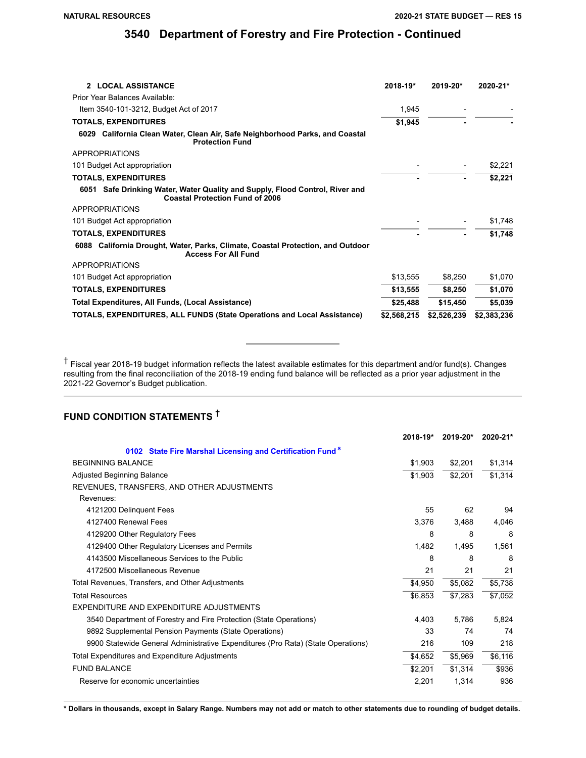| 2 LOCAL ASSISTANCE                                                                                                     | 2018-19*    | 2019-20*    | 2020-21*    |
|------------------------------------------------------------------------------------------------------------------------|-------------|-------------|-------------|
| Prior Year Balances Available:                                                                                         |             |             |             |
| Item 3540-101-3212, Budget Act of 2017                                                                                 | 1,945       |             |             |
| <b>TOTALS, EXPENDITURES</b>                                                                                            | \$1,945     |             |             |
| 6029 California Clean Water, Clean Air, Safe Neighborhood Parks, and Coastal<br><b>Protection Fund</b>                 |             |             |             |
| APPROPRIATIONS                                                                                                         |             |             |             |
| 101 Budget Act appropriation                                                                                           |             |             | \$2,221     |
| <b>TOTALS, EXPENDITURES</b>                                                                                            |             |             | \$2,221     |
| 6051 Safe Drinking Water, Water Quality and Supply, Flood Control, River and<br><b>Coastal Protection Fund of 2006</b> |             |             |             |
| APPROPRIATIONS                                                                                                         |             |             |             |
| 101 Budget Act appropriation                                                                                           |             |             | \$1,748     |
| <b>TOTALS, EXPENDITURES</b>                                                                                            |             |             | \$1,748     |
| 6088 California Drought, Water, Parks, Climate, Coastal Protection, and Outdoor<br><b>Access For All Fund</b>          |             |             |             |
| APPROPRIATIONS                                                                                                         |             |             |             |
| 101 Budget Act appropriation                                                                                           | \$13,555    | \$8,250     | \$1,070     |
| <b>TOTALS, EXPENDITURES</b>                                                                                            | \$13,555    | \$8,250     | \$1,070     |
| Total Expenditures, All Funds, (Local Assistance)                                                                      | \$25,488    | \$15,450    | \$5,039     |
| TOTALS, EXPENDITURES, ALL FUNDS (State Operations and Local Assistance)                                                | \$2,568,215 | \$2,526,239 | \$2,383,236 |

† Fiscal year 2018-19 budget information reflects the latest available estimates for this department and/or fund(s). Changes resulting from the final reconciliation of the 2018-19 ending fund balance will be reflected as a prior year adjustment in the 2021-22 Governor's Budget publication.

## **FUND CONDITION STATEMENTS †**

|                                                                                  | 2018-19* | 2019-20* | 2020-21* |
|----------------------------------------------------------------------------------|----------|----------|----------|
| 0102 State Fire Marshal Licensing and Certification Fund <sup>S</sup>            |          |          |          |
| <b>BEGINNING BALANCE</b>                                                         | \$1,903  | \$2,201  | \$1,314  |
| <b>Adjusted Beginning Balance</b>                                                | \$1,903  | \$2,201  | \$1,314  |
| REVENUES, TRANSFERS, AND OTHER ADJUSTMENTS                                       |          |          |          |
| Revenues:                                                                        |          |          |          |
| 4121200 Delinquent Fees                                                          | 55       | 62       | 94       |
| 4127400 Renewal Fees                                                             | 3,376    | 3,488    | 4,046    |
| 4129200 Other Regulatory Fees                                                    | 8        | 8        | 8        |
| 4129400 Other Regulatory Licenses and Permits                                    | 1,482    | 1,495    | 1,561    |
| 4143500 Miscellaneous Services to the Public                                     | 8        | 8        | 8        |
| 4172500 Miscellaneous Revenue                                                    | 21       | 21       | 21       |
| Total Revenues, Transfers, and Other Adjustments                                 | \$4,950  | \$5,082  | \$5,738  |
| <b>Total Resources</b>                                                           | \$6,853  | \$7,283  | \$7,052  |
| EXPENDITURE AND EXPENDITURE ADJUSTMENTS                                          |          |          |          |
| 3540 Department of Forestry and Fire Protection (State Operations)               | 4.403    | 5,786    | 5,824    |
| 9892 Supplemental Pension Payments (State Operations)                            | 33       | 74       | 74       |
| 9900 Statewide General Administrative Expenditures (Pro Rata) (State Operations) | 216      | 109      | 218      |
| Total Expenditures and Expenditure Adjustments                                   | \$4,652  | \$5,969  | \$6,116  |
| <b>FUND BALANCE</b>                                                              | \$2,201  | \$1,314  | \$936    |
| Reserve for economic uncertainties                                               | 2,201    | 1,314    | 936      |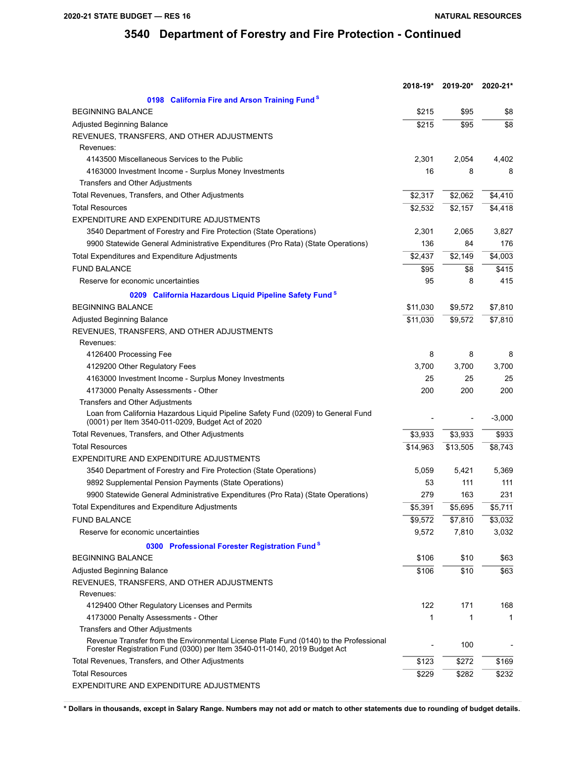|                                                                                                                                                                    | 2018-19*            | 2019-20* | 2020-21* |
|--------------------------------------------------------------------------------------------------------------------------------------------------------------------|---------------------|----------|----------|
| 0198 California Fire and Arson Training Fund <sup>S</sup>                                                                                                          |                     |          |          |
| <b>BEGINNING BALANCE</b>                                                                                                                                           | \$215               | \$95     | \$8      |
| Adjusted Beginning Balance                                                                                                                                         | \$215               | \$95     | \$8      |
| REVENUES, TRANSFERS, AND OTHER ADJUSTMENTS                                                                                                                         |                     |          |          |
| Revenues:                                                                                                                                                          |                     |          |          |
| 4143500 Miscellaneous Services to the Public                                                                                                                       | 2,301               | 2,054    | 4,402    |
| 4163000 Investment Income - Surplus Money Investments                                                                                                              | 16                  | 8        | 8        |
| Transfers and Other Adjustments                                                                                                                                    |                     |          |          |
| Total Revenues, Transfers, and Other Adjustments                                                                                                                   | \$2,317             | \$2,062  | \$4,410  |
| <b>Total Resources</b>                                                                                                                                             | $\overline{$}2,532$ | \$2,157  | \$4,418  |
| EXPENDITURE AND EXPENDITURE ADJUSTMENTS                                                                                                                            |                     |          |          |
| 3540 Department of Forestry and Fire Protection (State Operations)                                                                                                 | 2,301               | 2,065    | 3,827    |
| 9900 Statewide General Administrative Expenditures (Pro Rata) (State Operations)                                                                                   | 136                 | 84       | 176      |
| Total Expenditures and Expenditure Adjustments                                                                                                                     | \$2,437             | \$2,149  | \$4,003  |
| <b>FUND BALANCE</b>                                                                                                                                                | \$95                | \$8      | \$415    |
| Reserve for economic uncertainties                                                                                                                                 | 95                  | 8        | 415      |
| 0209 California Hazardous Liquid Pipeline Safety Fund <sup>S</sup>                                                                                                 |                     |          |          |
| <b>BEGINNING BALANCE</b>                                                                                                                                           | \$11,030            | \$9,572  | \$7,810  |
| Adjusted Beginning Balance                                                                                                                                         | \$11,030            | \$9,572  | \$7,810  |
| REVENUES, TRANSFERS, AND OTHER ADJUSTMENTS                                                                                                                         |                     |          |          |
| Revenues:                                                                                                                                                          |                     |          |          |
| 4126400 Processing Fee                                                                                                                                             | 8                   | 8        | 8        |
| 4129200 Other Regulatory Fees                                                                                                                                      | 3,700               | 3,700    | 3,700    |
| 4163000 Investment Income - Surplus Money Investments                                                                                                              | 25                  | 25       | 25       |
| 4173000 Penalty Assessments - Other                                                                                                                                | 200                 | 200      | 200      |
| Transfers and Other Adjustments                                                                                                                                    |                     |          |          |
| Loan from California Hazardous Liquid Pipeline Safety Fund (0209) to General Fund                                                                                  |                     |          |          |
| (0001) per Item 3540-011-0209, Budget Act of 2020                                                                                                                  |                     |          | $-3,000$ |
| Total Revenues, Transfers, and Other Adjustments                                                                                                                   | \$3,933             | \$3,933  | \$933    |
| <b>Total Resources</b>                                                                                                                                             | \$14,963            | \$13,505 | \$8,743  |
| EXPENDITURE AND EXPENDITURE ADJUSTMENTS                                                                                                                            |                     |          |          |
| 3540 Department of Forestry and Fire Protection (State Operations)                                                                                                 | 5,059               | 5,421    | 5,369    |
| 9892 Supplemental Pension Payments (State Operations)                                                                                                              | 53                  | 111      | 111      |
| 9900 Statewide General Administrative Expenditures (Pro Rata) (State Operations)                                                                                   | 279                 | 163      | 231      |
| Total Expenditures and Expenditure Adjustments                                                                                                                     | \$5,391             | \$5,695  | \$5,711  |
| <b>FUND BALANCE</b>                                                                                                                                                | \$9,572             | \$7,810  | \$3,032  |
| Reserve for economic uncertainties                                                                                                                                 | 9,572               | 7,810    | 3,032    |
| 0300 Professional Forester Registration Fund <sup>S</sup>                                                                                                          |                     |          |          |
| <b>BEGINNING BALANCE</b>                                                                                                                                           | \$106               | \$10     | \$63     |
| Adjusted Beginning Balance                                                                                                                                         | \$106               | \$10     | \$63     |
| REVENUES, TRANSFERS, AND OTHER ADJUSTMENTS                                                                                                                         |                     |          |          |
| Revenues:                                                                                                                                                          |                     |          |          |
| 4129400 Other Regulatory Licenses and Permits                                                                                                                      | 122                 | 171      | 168      |
| 4173000 Penalty Assessments - Other                                                                                                                                | 1                   | 1        | 1        |
| Transfers and Other Adjustments                                                                                                                                    |                     |          |          |
| Revenue Transfer from the Environmental License Plate Fund (0140) to the Professional<br>Forester Registration Fund (0300) per Item 3540-011-0140, 2019 Budget Act |                     | 100      |          |
| Total Revenues, Transfers, and Other Adjustments                                                                                                                   | \$123               | \$272    | \$169    |
| <b>Total Resources</b>                                                                                                                                             | \$229               | \$282    | \$232    |
| EXPENDITURE AND EXPENDITURE ADJUSTMENTS                                                                                                                            |                     |          |          |
|                                                                                                                                                                    |                     |          |          |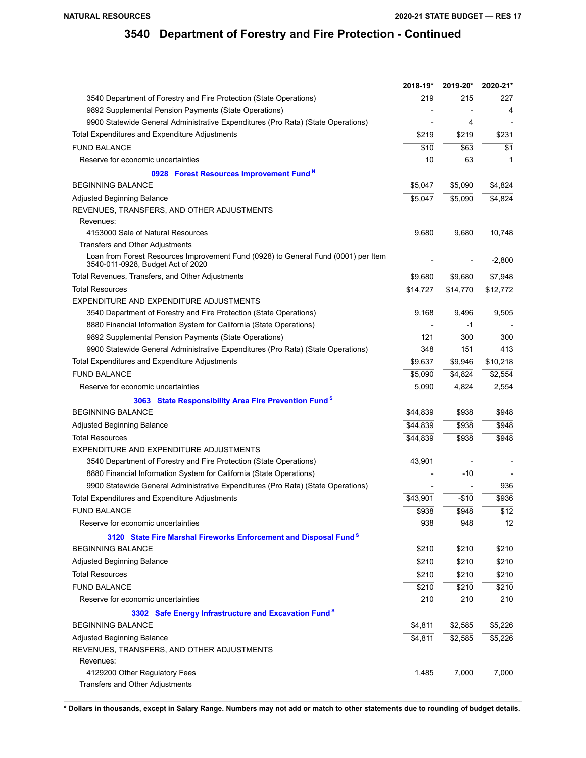|                                                                                                                         | 2018-19* | 2019-20* | 2020-21*         |
|-------------------------------------------------------------------------------------------------------------------------|----------|----------|------------------|
| 3540 Department of Forestry and Fire Protection (State Operations)                                                      | 219      | 215      | 227              |
| 9892 Supplemental Pension Payments (State Operations)                                                                   |          |          | 4                |
| 9900 Statewide General Administrative Expenditures (Pro Rata) (State Operations)                                        |          | 4        |                  |
| Total Expenditures and Expenditure Adjustments                                                                          | \$219    | \$219    | \$231            |
| <b>FUND BALANCE</b>                                                                                                     | \$10     | \$63     | \$1              |
| Reserve for economic uncertainties                                                                                      | 10       | 63       | 1                |
| 0928 Forest Resources Improvement Fund <sup>N</sup>                                                                     |          |          |                  |
| <b>BEGINNING BALANCE</b>                                                                                                | \$5,047  | \$5,090  | \$4,824          |
| Adjusted Beginning Balance                                                                                              | \$5,047  | \$5.090  | \$4,824          |
| REVENUES, TRANSFERS, AND OTHER ADJUSTMENTS                                                                              |          |          |                  |
| Revenues:                                                                                                               |          |          |                  |
| 4153000 Sale of Natural Resources                                                                                       | 9,680    | 9,680    | 10,748           |
| Transfers and Other Adjustments                                                                                         |          |          |                  |
| Loan from Forest Resources Improvement Fund (0928) to General Fund (0001) per Item<br>3540-011-0928, Budget Act of 2020 |          |          | $-2,800$         |
| Total Revenues, Transfers, and Other Adjustments                                                                        | \$9,680  | \$9,680  | \$7,948          |
| <b>Total Resources</b>                                                                                                  | \$14,727 | \$14,770 | \$12,772         |
| EXPENDITURE AND EXPENDITURE ADJUSTMENTS                                                                                 |          |          |                  |
| 3540 Department of Forestry and Fire Protection (State Operations)                                                      | 9,168    | 9,496    | 9,505            |
| 8880 Financial Information System for California (State Operations)                                                     |          | -1       |                  |
| 9892 Supplemental Pension Payments (State Operations)                                                                   | 121      | 300      | 300              |
| 9900 Statewide General Administrative Expenditures (Pro Rata) (State Operations)                                        | 348      | 151      | 413              |
| Total Expenditures and Expenditure Adjustments                                                                          | \$9,637  | \$9,946  | \$10,218         |
| <b>FUND BALANCE</b>                                                                                                     | \$5,090  | \$4,824  | \$2,554          |
| Reserve for economic uncertainties                                                                                      | 5,090    | 4,824    | 2,554            |
| 3063 State Responsibility Area Fire Prevention Fund <sup>S</sup>                                                        |          |          |                  |
| <b>BEGINNING BALANCE</b>                                                                                                | \$44,839 | \$938    | \$948            |
| Adjusted Beginning Balance                                                                                              | \$44,839 | \$938    | \$948            |
| <b>Total Resources</b>                                                                                                  | \$44,839 | \$938    | \$948            |
| EXPENDITURE AND EXPENDITURE ADJUSTMENTS                                                                                 |          |          |                  |
| 3540 Department of Forestry and Fire Protection (State Operations)                                                      | 43,901   |          |                  |
| 8880 Financial Information System for California (State Operations)                                                     |          | -10      |                  |
| 9900 Statewide General Administrative Expenditures (Pro Rata) (State Operations)                                        |          |          | 936              |
| Total Expenditures and Expenditure Adjustments                                                                          | \$43,901 | $-$10$   | \$936            |
| <b>FUND BALANCE</b>                                                                                                     | 5938     | \$948    | $\overline{$12}$ |
| Reserve for economic uncertainties                                                                                      | 938      | 948      | 12               |
| 3120 State Fire Marshal Fireworks Enforcement and Disposal Fund <sup>8</sup>                                            |          |          |                  |
| <b>BEGINNING BALANCE</b>                                                                                                | \$210    | \$210    | \$210            |
| <b>Adjusted Beginning Balance</b>                                                                                       | \$210    | \$210    | \$210            |
| <b>Total Resources</b>                                                                                                  | \$210    | \$210    | \$210            |
| <b>FUND BALANCE</b>                                                                                                     | \$210    | \$210    | \$210            |
| Reserve for economic uncertainties                                                                                      | 210      | 210      | 210              |
| 3302 Safe Energy Infrastructure and Excavation Fund <sup>S</sup>                                                        |          |          |                  |
| <b>BEGINNING BALANCE</b>                                                                                                | \$4,811  | \$2,585  | \$5,226          |
| Adjusted Beginning Balance                                                                                              | \$4,811  | \$2,585  | \$5,226          |
| REVENUES, TRANSFERS, AND OTHER ADJUSTMENTS                                                                              |          |          |                  |
| Revenues:                                                                                                               |          |          |                  |
| 4129200 Other Regulatory Fees                                                                                           | 1,485    | 7,000    | 7,000            |
| Transfers and Other Adjustments                                                                                         |          |          |                  |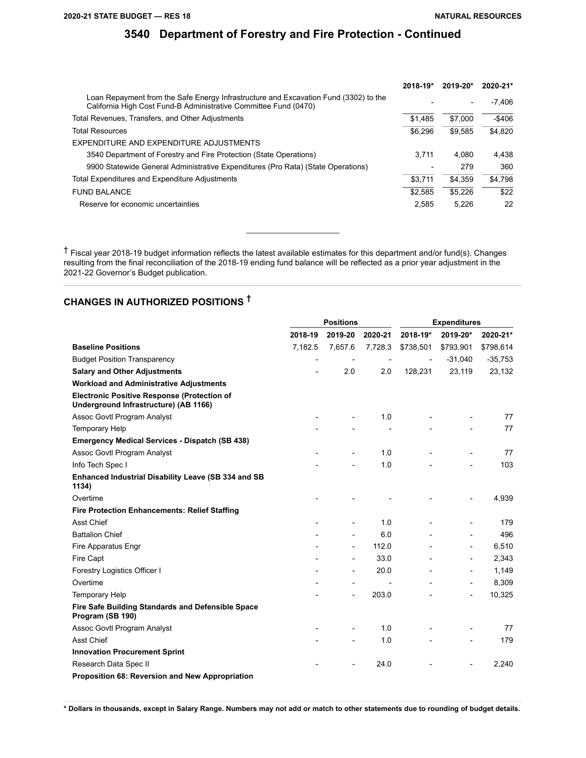|                                                                                                                                                          | $2018 - 19*$ | 2019-20*                 | 2020-21*  |
|----------------------------------------------------------------------------------------------------------------------------------------------------------|--------------|--------------------------|-----------|
| Loan Repayment from the Safe Energy Infrastructure and Excavation Fund (3302) to the<br>California High Cost Fund-B Administrative Committee Fund (0470) |              | $\overline{\phantom{0}}$ | -7.406    |
| Total Revenues, Transfers, and Other Adjustments                                                                                                         | \$1.485      | \$7,000                  | $-$ \$406 |
| Total Resources                                                                                                                                          | \$6.296      | \$9.585                  | \$4.820   |
| EXPENDITURE AND EXPENDITURE ADJUSTMENTS                                                                                                                  |              |                          |           |
| 3540 Department of Forestry and Fire Protection (State Operations)                                                                                       | 3.711        | 4.080                    | 4.438     |
| 9900 Statewide General Administrative Expenditures (Pro Rata) (State Operations)                                                                         |              | 279                      | 360       |
| Total Expenditures and Expenditure Adjustments                                                                                                           | \$3.711      | \$4.359                  | \$4.798   |
| <b>FUND BALANCE</b>                                                                                                                                      | \$2.585      | \$5.226                  | \$22      |
| Reserve for economic uncertainties                                                                                                                       | 2.585        | 5.226                    | 22        |

† Fiscal year 2018-19 budget information reflects the latest available estimates for this department and/or fund(s). Changes resulting from the final reconciliation of the 2018-19 ending fund balance will be reflected as a prior year adjustment in the 2021-22 Governor's Budget publication.

# **CHANGES IN AUTHORIZED POSITIONS †**

|                                                                                             |                          | <b>Positions</b>         |                          | <b>Expenditures</b>      |                          |           |  |
|---------------------------------------------------------------------------------------------|--------------------------|--------------------------|--------------------------|--------------------------|--------------------------|-----------|--|
|                                                                                             | 2018-19                  | 2019-20                  | 2020-21                  | 2018-19*                 | 2019-20*                 | 2020-21*  |  |
| <b>Baseline Positions</b>                                                                   | 7,182.5                  | 7,657.6                  | 7,728.3                  | \$738,501                | \$793,901                | \$798,614 |  |
| <b>Budget Position Transparency</b>                                                         | $\overline{\phantom{a}}$ |                          | $\overline{\phantom{a}}$ | $\overline{\phantom{a}}$ | $-31,040$                | $-35,753$ |  |
| <b>Salary and Other Adjustments</b>                                                         |                          | 2.0                      | 2.0                      | 128,231                  | 23,119                   | 23,132    |  |
| <b>Workload and Administrative Adjustments</b>                                              |                          |                          |                          |                          |                          |           |  |
| <b>Electronic Positive Response (Protection of</b><br>Underground Infrastructure) (AB 1166) |                          |                          |                          |                          |                          |           |  |
| Assoc Govtl Program Analyst                                                                 |                          | $\overline{\phantom{a}}$ | 1.0                      |                          |                          | 77        |  |
| <b>Temporary Help</b>                                                                       |                          |                          |                          |                          |                          | 77        |  |
| <b>Emergency Medical Services - Dispatch (SB 438)</b>                                       |                          |                          |                          |                          |                          |           |  |
| Assoc Govtl Program Analyst                                                                 |                          |                          | 1.0                      |                          |                          | 77        |  |
| Info Tech Spec I                                                                            |                          |                          | 1.0                      |                          |                          | 103       |  |
| Enhanced Industrial Disability Leave (SB 334 and SB<br>1134)                                |                          |                          |                          |                          |                          |           |  |
| Overtime                                                                                    |                          |                          |                          |                          |                          | 4,939     |  |
| <b>Fire Protection Enhancements: Relief Staffing</b>                                        |                          |                          |                          |                          |                          |           |  |
| Asst Chief                                                                                  |                          | $\overline{\phantom{a}}$ | 1.0                      |                          | $\overline{a}$           | 179       |  |
| <b>Battalion Chief</b>                                                                      |                          |                          | 6.0                      |                          | $\overline{a}$           | 496       |  |
| Fire Apparatus Engr                                                                         |                          | $\overline{\phantom{a}}$ | 112.0                    |                          | $\overline{\phantom{a}}$ | 6,510     |  |
| Fire Capt                                                                                   |                          | $\overline{a}$           | 33.0                     |                          | $\overline{\phantom{a}}$ | 2,343     |  |
| Forestry Logistics Officer I                                                                |                          | $\overline{\phantom{a}}$ | 20.0                     |                          | $\overline{\phantom{a}}$ | 1,149     |  |
| Overtime                                                                                    |                          | $\overline{\phantom{a}}$ |                          |                          | $\qquad \qquad -$        | 8,309     |  |
| <b>Temporary Help</b>                                                                       |                          | $\overline{\phantom{a}}$ | 203.0                    |                          | $\overline{\phantom{a}}$ | 10,325    |  |
| Fire Safe Building Standards and Defensible Space<br>Program (SB 190)                       |                          |                          |                          |                          |                          |           |  |
| Assoc Govtl Program Analyst                                                                 |                          |                          | 1.0                      |                          |                          | 77        |  |
| Asst Chief                                                                                  |                          |                          | 1.0                      |                          |                          | 179       |  |
| <b>Innovation Procurement Sprint</b>                                                        |                          |                          |                          |                          |                          |           |  |
| Research Data Spec II                                                                       |                          |                          | 24.0                     |                          |                          | 2,240     |  |
| Proposition 68: Reversion and New Appropriation                                             |                          |                          |                          |                          |                          |           |  |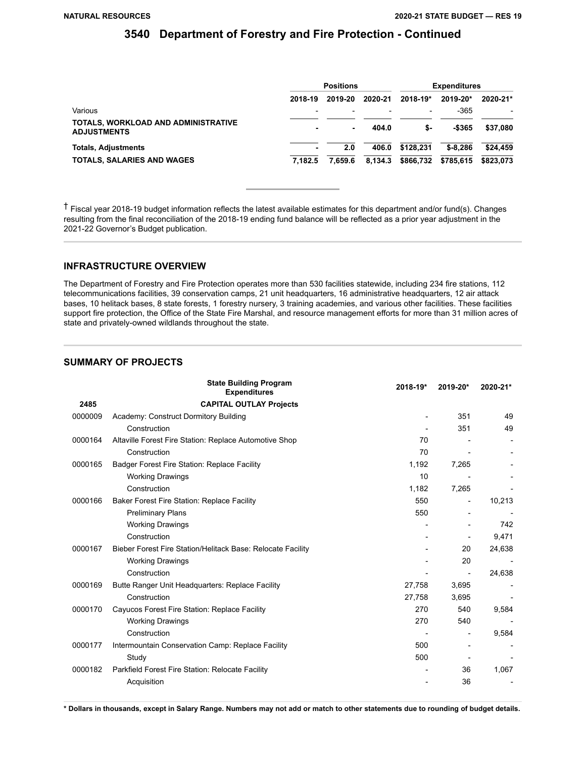|                                                                  | <b>Positions</b>         |         |         | <b>Expenditures</b>      |            |              |
|------------------------------------------------------------------|--------------------------|---------|---------|--------------------------|------------|--------------|
|                                                                  | 2018-19                  | 2019-20 | 2020-21 | 2018-19*                 | 2019-20*   | $2020 - 21*$ |
| Various                                                          | $\overline{\phantom{0}}$ |         |         | $\overline{\phantom{a}}$ | $-365$     |              |
| <b>TOTALS, WORKLOAD AND ADMINISTRATIVE</b><br><b>ADJUSTMENTS</b> |                          | $\sim$  | 404.0   | \$-                      | -\$365     | \$37.080     |
| <b>Totals, Adjustments</b>                                       |                          | 2.0     | 406.0   | \$128.231                | $$ -8.286$ | \$24,459     |
| <b>TOTALS, SALARIES AND WAGES</b>                                | 7.182.5                  | 7.659.6 | 8.134.3 | \$866,732                | \$785.615  | \$823,073    |

† Fiscal year 2018-19 budget information reflects the latest available estimates for this department and/or fund(s). Changes resulting from the final reconciliation of the 2018-19 ending fund balance will be reflected as a prior year adjustment in the 2021-22 Governor's Budget publication.

### **INFRASTRUCTURE OVERVIEW**

The Department of Forestry and Fire Protection operates more than 530 facilities statewide, including 234 fire stations, 112 telecommunications facilities, 39 conservation camps, 21 unit headquarters, 16 administrative headquarters, 12 air attack bases, 10 helitack bases, 8 state forests, 1 forestry nursery, 3 training academies, and various other facilities. These facilities support fire protection, the Office of the State Fire Marshal, and resource management efforts for more than 31 million acres of state and privately-owned wildlands throughout the state.

### **SUMMARY OF PROJECTS**

|         | <b>State Building Program</b><br><b>Expenditures</b>        | 2018-19* | 2019-20*                 | 2020-21* |
|---------|-------------------------------------------------------------|----------|--------------------------|----------|
| 2485    | <b>CAPITAL OUTLAY Projects</b>                              |          |                          |          |
| 0000009 | Academy: Construct Dormitory Building                       |          | 351                      | 49       |
|         | Construction                                                |          | 351                      | 49       |
| 0000164 | Altaville Forest Fire Station: Replace Automotive Shop      | 70       |                          |          |
|         | Construction                                                | 70       |                          |          |
| 0000165 | Badger Forest Fire Station: Replace Facility                | 1,192    | 7,265                    |          |
|         | <b>Working Drawings</b>                                     | 10       |                          |          |
|         | Construction                                                | 1,182    | 7,265                    |          |
| 0000166 | Baker Forest Fire Station: Replace Facility                 | 550      |                          | 10,213   |
|         | <b>Preliminary Plans</b>                                    | 550      |                          |          |
|         | <b>Working Drawings</b>                                     |          |                          | 742      |
|         | Construction                                                |          |                          | 9,471    |
| 0000167 | Bieber Forest Fire Station/Helitack Base: Relocate Facility |          | 20                       | 24,638   |
|         | <b>Working Drawings</b>                                     |          | 20                       |          |
|         | Construction                                                |          | $\overline{\phantom{a}}$ | 24,638   |
| 0000169 | Butte Ranger Unit Headquarters: Replace Facility            | 27,758   | 3,695                    |          |
|         | Construction                                                | 27,758   | 3,695                    |          |
| 0000170 | Cayucos Forest Fire Station: Replace Facility               | 270      | 540                      | 9,584    |
|         | <b>Working Drawings</b>                                     | 270      | 540                      |          |
|         | Construction                                                |          |                          | 9,584    |
| 0000177 | Intermountain Conservation Camp: Replace Facility           | 500      |                          |          |
|         | Study                                                       | 500      |                          |          |
| 0000182 | Parkfield Forest Fire Station: Relocate Facility            |          | 36                       | 1,067    |
|         | Acquisition                                                 |          | 36                       |          |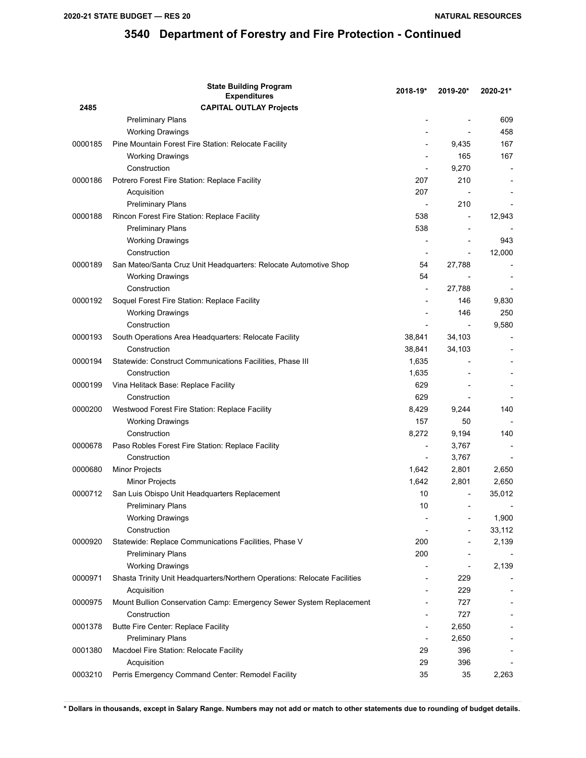|         | <b>State Building Program</b><br><b>Expenditures</b>                      | 2018-19*                 | 2019-20*                 | 2020-21* |
|---------|---------------------------------------------------------------------------|--------------------------|--------------------------|----------|
| 2485    | <b>CAPITAL OUTLAY Projects</b>                                            |                          |                          |          |
|         | <b>Preliminary Plans</b>                                                  |                          |                          | 609      |
|         | <b>Working Drawings</b>                                                   |                          |                          | 458      |
| 0000185 | Pine Mountain Forest Fire Station: Relocate Facility                      |                          | 9,435                    | 167      |
|         | <b>Working Drawings</b>                                                   |                          | 165                      | 167      |
|         | Construction                                                              |                          | 9,270                    |          |
| 0000186 | Potrero Forest Fire Station: Replace Facility                             | 207                      | 210                      |          |
|         | Acquisition                                                               | 207                      |                          |          |
|         | <b>Preliminary Plans</b>                                                  |                          | 210                      |          |
| 0000188 | Rincon Forest Fire Station: Replace Facility                              | 538                      |                          | 12,943   |
|         | <b>Preliminary Plans</b>                                                  | 538                      |                          |          |
|         | <b>Working Drawings</b>                                                   |                          |                          | 943      |
|         | Construction                                                              |                          |                          | 12,000   |
| 0000189 | San Mateo/Santa Cruz Unit Headquarters: Relocate Automotive Shop          | 54                       | 27,788                   |          |
|         | <b>Working Drawings</b>                                                   | 54                       |                          |          |
|         | Construction                                                              |                          | 27,788                   |          |
| 0000192 | Soquel Forest Fire Station: Replace Facility                              |                          | 146                      | 9,830    |
|         | <b>Working Drawings</b>                                                   |                          | 146                      | 250      |
|         | Construction                                                              |                          | $\overline{\phantom{a}}$ | 9,580    |
| 0000193 | South Operations Area Headquarters: Relocate Facility                     | 38,841                   | 34,103                   |          |
|         | Construction                                                              | 38,841                   | 34,103                   |          |
| 0000194 | Statewide: Construct Communications Facilities, Phase III                 | 1,635                    |                          |          |
|         | Construction                                                              | 1,635                    |                          |          |
| 0000199 | Vina Helitack Base: Replace Facility                                      | 629                      |                          |          |
|         | Construction                                                              | 629                      |                          |          |
| 0000200 | Westwood Forest Fire Station: Replace Facility                            | 8,429                    | 9,244                    | 140      |
|         | <b>Working Drawings</b>                                                   | 157                      | 50                       |          |
|         | Construction                                                              | 8,272                    | 9,194                    | 140      |
| 0000678 | Paso Robles Forest Fire Station: Replace Facility                         | $\overline{\phantom{a}}$ | 3,767                    |          |
|         | Construction                                                              |                          | 3,767                    |          |
| 0000680 | Minor Projects                                                            | 1,642                    | 2,801                    | 2,650    |
|         | Minor Projects                                                            | 1,642                    | 2,801                    | 2,650    |
| 0000712 | San Luis Obispo Unit Headquarters Replacement                             | 10                       |                          | 35,012   |
|         | <b>Preliminary Plans</b>                                                  | 10                       | $\overline{\phantom{0}}$ |          |
|         | <b>Working Drawings</b>                                                   |                          |                          | 1,900    |
|         | Construction                                                              |                          |                          | 33,112   |
| 0000920 | Statewide: Replace Communications Facilities, Phase V                     | 200                      |                          | 2,139    |
|         | <b>Preliminary Plans</b>                                                  | 200                      |                          |          |
|         | <b>Working Drawings</b>                                                   |                          |                          | 2,139    |
| 0000971 | Shasta Trinity Unit Headquarters/Northern Operations: Relocate Facilities |                          | 229                      |          |
|         | Acquisition                                                               |                          | 229                      |          |
| 0000975 | Mount Bullion Conservation Camp: Emergency Sewer System Replacement       |                          | 727                      |          |
|         | Construction                                                              |                          | 727                      |          |
| 0001378 | Butte Fire Center: Replace Facility                                       | $\overline{\phantom{a}}$ | 2,650                    |          |
|         | <b>Preliminary Plans</b>                                                  |                          | 2,650                    |          |
| 0001380 | Macdoel Fire Station: Relocate Facility                                   | 29                       | 396                      |          |
|         | Acquisition                                                               | 29                       | 396                      |          |
| 0003210 | Perris Emergency Command Center: Remodel Facility                         | 35                       | 35                       | 2,263    |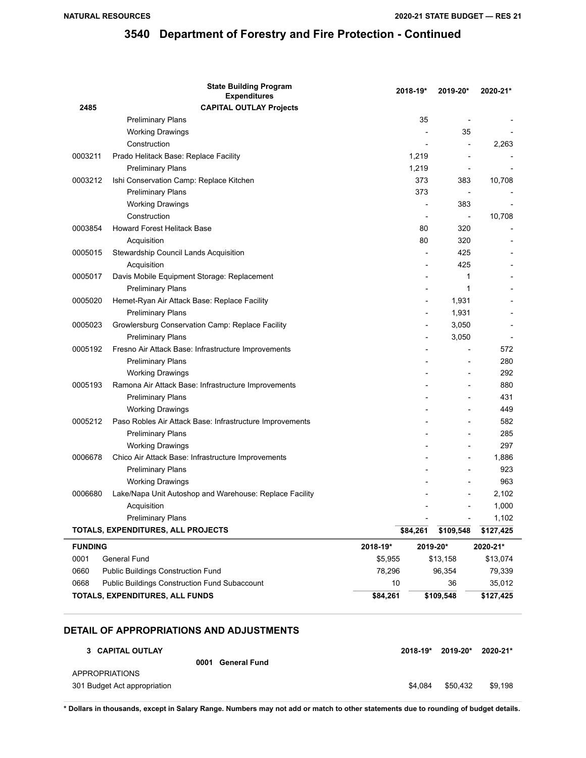|                                 | <b>State Building Program</b><br><b>Expenditures</b>     | 2018-19* |           | 2019-20*                 | 2020-21*  |
|---------------------------------|----------------------------------------------------------|----------|-----------|--------------------------|-----------|
| 2485                            | <b>CAPITAL OUTLAY Projects</b>                           |          |           |                          |           |
|                                 | <b>Preliminary Plans</b>                                 |          | 35        |                          |           |
|                                 | <b>Working Drawings</b>                                  |          |           | 35                       |           |
|                                 | Construction                                             |          |           |                          | 2,263     |
| 0003211                         | Prado Helitack Base: Replace Facility                    | 1,219    |           |                          |           |
|                                 | <b>Preliminary Plans</b>                                 | 1,219    |           |                          |           |
| 0003212                         | Ishi Conservation Camp: Replace Kitchen                  |          | 373       | 383                      | 10,708    |
|                                 | <b>Preliminary Plans</b>                                 |          | 373       |                          |           |
|                                 | <b>Working Drawings</b>                                  |          |           | 383                      |           |
|                                 | Construction                                             |          |           | $\overline{\phantom{a}}$ | 10,708    |
| 0003854                         | <b>Howard Forest Helitack Base</b>                       |          | 80        | 320                      |           |
|                                 | Acquisition                                              |          | 80        | 320                      |           |
| 0005015                         | Stewardship Council Lands Acquisition                    |          |           | 425                      |           |
|                                 | Acquisition                                              |          |           | 425                      |           |
| 0005017                         | Davis Mobile Equipment Storage: Replacement              |          |           | 1                        |           |
|                                 | <b>Preliminary Plans</b>                                 |          |           | 1                        |           |
| 0005020                         | Hemet-Ryan Air Attack Base: Replace Facility             |          |           | 1,931                    |           |
|                                 | <b>Preliminary Plans</b>                                 |          |           | 1,931                    |           |
| 0005023                         | Growlersburg Conservation Camp: Replace Facility         |          |           | 3,050                    |           |
|                                 | <b>Preliminary Plans</b>                                 |          |           | 3,050                    |           |
| 0005192                         | Fresno Air Attack Base: Infrastructure Improvements      |          |           |                          | 572       |
|                                 | <b>Preliminary Plans</b>                                 |          |           |                          | 280       |
|                                 | <b>Working Drawings</b>                                  |          |           |                          | 292       |
| 0005193                         | Ramona Air Attack Base: Infrastructure Improvements      |          |           |                          | 880       |
|                                 | <b>Preliminary Plans</b>                                 |          |           |                          | 431       |
|                                 | <b>Working Drawings</b>                                  |          |           |                          | 449       |
| 0005212                         | Paso Robles Air Attack Base: Infrastructure Improvements |          |           | $\overline{\phantom{a}}$ | 582       |
|                                 | <b>Preliminary Plans</b>                                 |          |           |                          | 285       |
|                                 | <b>Working Drawings</b>                                  |          |           |                          | 297       |
| 0006678                         | Chico Air Attack Base: Infrastructure Improvements       |          |           |                          | 1,886     |
|                                 | <b>Preliminary Plans</b>                                 |          |           |                          | 923       |
|                                 | <b>Working Drawings</b>                                  |          |           |                          | 963       |
| 0006680                         | Lake/Napa Unit Autoshop and Warehouse: Replace Facility  |          |           |                          | 2,102     |
|                                 | Acquisition                                              |          |           |                          | 1,000     |
|                                 | <b>Preliminary Plans</b>                                 |          |           |                          | 1,102     |
|                                 | TOTALS, EXPENDITURES, ALL PROJECTS                       | \$84,261 |           | \$109,548                | \$127,425 |
| <b>FUNDING</b>                  | 2019-20*<br>2018-19*                                     |          |           | 2020-21*                 |           |
| 0001                            | General Fund                                             | \$5,955  |           | \$13,158                 | \$13,074  |
| 0660                            | <b>Public Buildings Construction Fund</b>                | 78,296   |           | 96,354                   | 79,339    |
| 0668                            | <b>Public Buildings Construction Fund Subaccount</b>     | 10       |           | 36                       | 35,012    |
| TOTALS, EXPENDITURES, ALL FUNDS |                                                          | \$84,261 | \$109,548 |                          | \$127,425 |

### **DETAIL OF APPROPRIATIONS AND ADJUSTMENTS**

| 3 CAPITAL OUTLAY             |      |                     | 2018-19* | 2019-20* | 2020-21* |
|------------------------------|------|---------------------|----------|----------|----------|
|                              | 0001 | <b>General Fund</b> |          |          |          |
| <b>APPROPRIATIONS</b>        |      |                     |          |          |          |
| 301 Budget Act appropriation |      |                     | \$4.084  | \$50.432 | \$9.198  |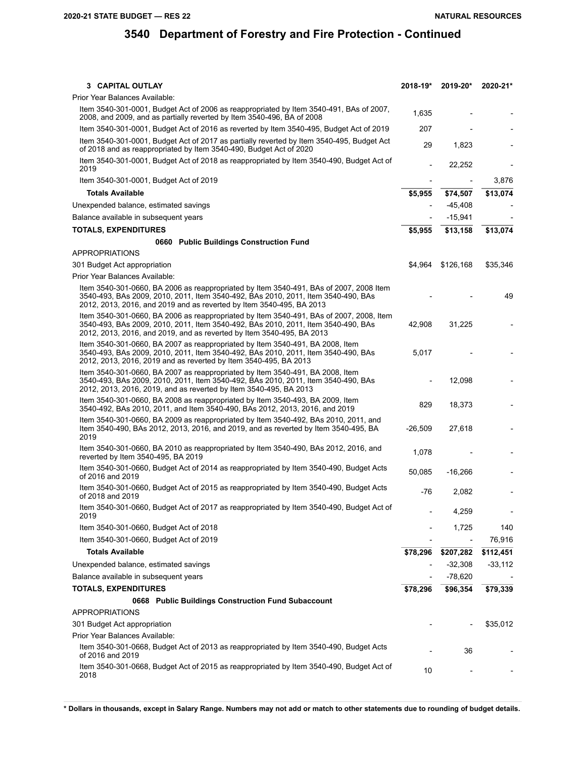| 3 CAPITAL OUTLAY                                                                                                                                                                                                                                      | 2018-19*  | 2019-20*  | 2020-21*  |
|-------------------------------------------------------------------------------------------------------------------------------------------------------------------------------------------------------------------------------------------------------|-----------|-----------|-----------|
| Prior Year Balances Available:                                                                                                                                                                                                                        |           |           |           |
| Item 3540-301-0001, Budget Act of 2006 as reappropriated by Item 3540-491, BAs of 2007,<br>2008, and 2009, and as partially reverted by Item 3540-496, BA of 2008                                                                                     | 1,635     |           |           |
| Item 3540-301-0001, Budget Act of 2016 as reverted by Item 3540-495, Budget Act of 2019                                                                                                                                                               | 207       |           |           |
| Item 3540-301-0001, Budget Act of 2017 as partially reverted by Item 3540-495, Budget Act<br>of 2018 and as reappropriated by Item 3540-490, Budget Act of 2020                                                                                       | 29        | 1,823     |           |
| Item 3540-301-0001, Budget Act of 2018 as reappropriated by Item 3540-490, Budget Act of<br>2019                                                                                                                                                      |           | 22,252    |           |
| Item 3540-301-0001, Budget Act of 2019                                                                                                                                                                                                                |           |           | 3,876     |
| <b>Totals Available</b>                                                                                                                                                                                                                               | \$5,955   | \$74,507  | \$13,074  |
| Unexpended balance, estimated savings                                                                                                                                                                                                                 |           | $-45,408$ |           |
| Balance available in subsequent years                                                                                                                                                                                                                 |           | $-15,941$ |           |
| <b>TOTALS, EXPENDITURES</b>                                                                                                                                                                                                                           | \$5,955   | \$13,158  | \$13,074  |
| 0660 Public Buildings Construction Fund                                                                                                                                                                                                               |           |           |           |
| <b>APPROPRIATIONS</b>                                                                                                                                                                                                                                 |           |           |           |
| 301 Budget Act appropriation                                                                                                                                                                                                                          | \$4,964   | \$126,168 | \$35,346  |
| Prior Year Balances Available:                                                                                                                                                                                                                        |           |           |           |
| Item 3540-301-0660, BA 2006 as reappropriated by Item 3540-491, BAs of 2007, 2008 Item<br>3540-493, BAs 2009, 2010, 2011, Item 3540-492, BAs 2010, 2011, Item 3540-490, BAs<br>2012, 2013, 2016, and 2019 and as reverted by Item 3540-495, BA 2013   |           |           | 49        |
| Item 3540-301-0660, BA 2006 as reappropriated by Item 3540-491, BAs of 2007, 2008, Item<br>3540-493, BAs 2009, 2010, 2011, Item 3540-492, BAs 2010, 2011, Item 3540-490, BAs<br>2012, 2013, 2016, and 2019, and as reverted by Item 3540-495, BA 2013 | 42,908    | 31,225    |           |
| Item 3540-301-0660, BA 2007 as reappropriated by Item 3540-491, BA 2008, Item<br>3540-493, BAs 2009, 2010, 2011, Item 3540-492, BAs 2010, 2011, Item 3540-490, BAs<br>2012, 2013, 2016, 2019 and as reverted by Item 3540-495, BA 2013                | 5,017     |           |           |
| Item 3540-301-0660, BA 2007 as reappropriated by Item 3540-491, BA 2008, Item<br>3540-493, BAs 2009, 2010, 2011, Item 3540-492, BAs 2010, 2011, Item 3540-490, BAs<br>2012, 2013, 2016, 2019, and as reverted by Item 3540-495, BA 2013               |           | 12,098    |           |
| Item 3540-301-0660, BA 2008 as reappropriated by Item 3540-493, BA 2009, Item<br>3540-492, BAs 2010, 2011, and Item 3540-490, BAs 2012, 2013, 2016, and 2019                                                                                          | 829       | 18,373    |           |
| Item 3540-301-0660, BA 2009 as reappropriated by Item 3540-492, BAs 2010, 2011, and<br>Item 3540-490, BAs 2012, 2013, 2016, and 2019, and as reverted by Item 3540-495, BA<br>2019                                                                    | $-26,509$ | 27,618    |           |
| Item 3540-301-0660, BA 2010 as reappropriated by Item 3540-490, BAs 2012, 2016, and<br>reverted by Item 3540-495, BA 2019                                                                                                                             | 1,078     |           |           |
| Item 3540-301-0660, Budget Act of 2014 as reappropriated by Item 3540-490, Budget Acts<br>of 2016 and 2019                                                                                                                                            | 50,085    | $-16,266$ |           |
| Item 3540-301-0660, Budget Act of 2015 as reappropriated by Item 3540-490, Budget Acts<br>of 2018 and 2019                                                                                                                                            | -76       | 2,082     |           |
| Item 3540-301-0660, Budget Act of 2017 as reappropriated by Item 3540-490, Budget Act of<br>2019                                                                                                                                                      |           | 4,259     |           |
| Item 3540-301-0660, Budget Act of 2018                                                                                                                                                                                                                |           | 1,725     | 140       |
| Item 3540-301-0660, Budget Act of 2019                                                                                                                                                                                                                |           |           | 76,916    |
| <b>Totals Available</b>                                                                                                                                                                                                                               | \$78,296  | \$207,282 | \$112,451 |
| Unexpended balance, estimated savings                                                                                                                                                                                                                 |           | $-32,308$ | $-33,112$ |
| Balance available in subsequent years                                                                                                                                                                                                                 |           | $-78,620$ |           |
| <b>TOTALS, EXPENDITURES</b>                                                                                                                                                                                                                           | \$78,296  | \$96,354  | \$79,339  |
| 0668 Public Buildings Construction Fund Subaccount                                                                                                                                                                                                    |           |           |           |
| <b>APPROPRIATIONS</b>                                                                                                                                                                                                                                 |           |           |           |
| 301 Budget Act appropriation                                                                                                                                                                                                                          |           |           | \$35,012  |
| Prior Year Balances Available:                                                                                                                                                                                                                        |           |           |           |
| Item 3540-301-0668, Budget Act of 2013 as reappropriated by Item 3540-490, Budget Acts<br>of 2016 and 2019                                                                                                                                            |           | 36        |           |
| Item 3540-301-0668, Budget Act of 2015 as reappropriated by Item 3540-490, Budget Act of<br>2018                                                                                                                                                      | 10        |           |           |